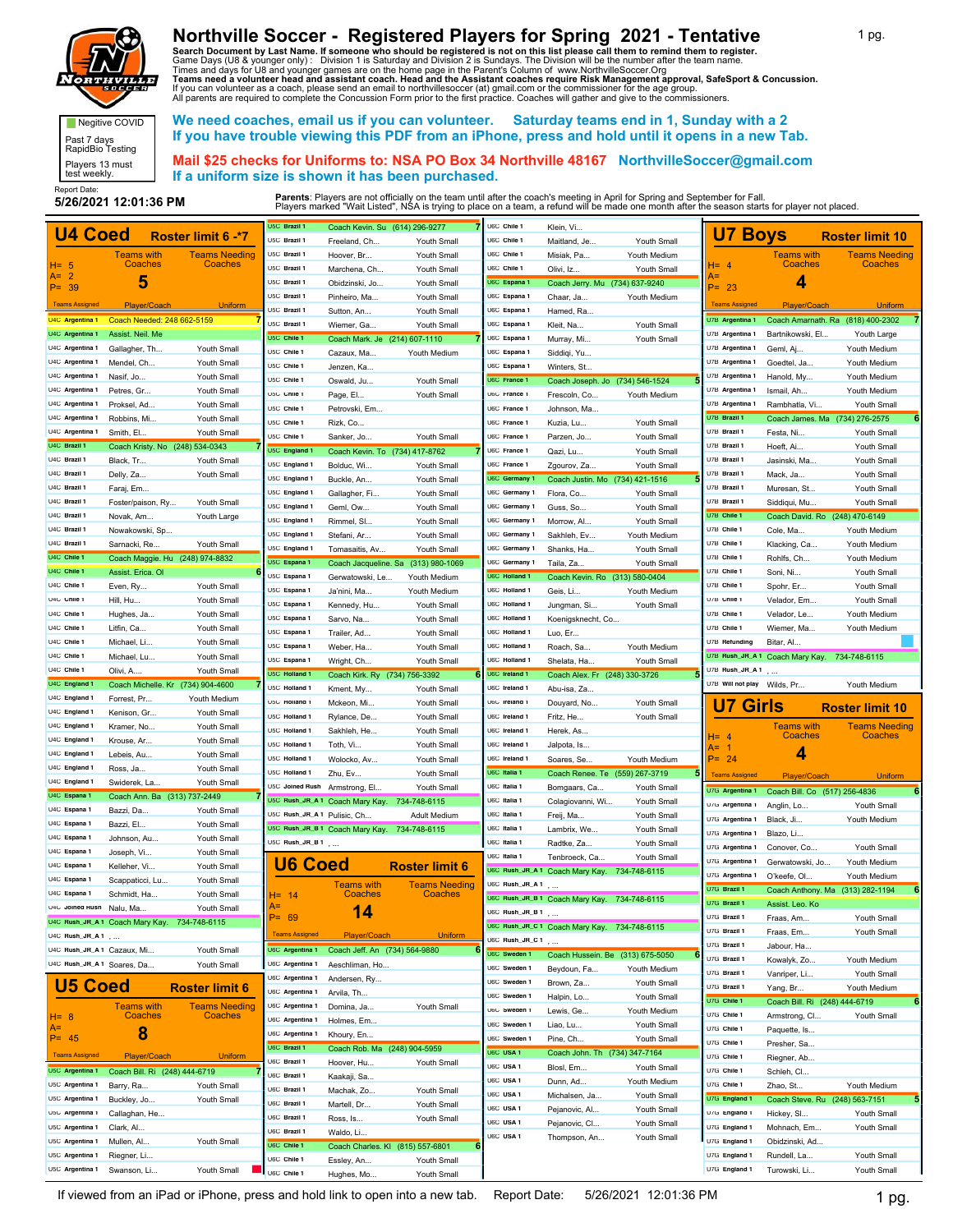

Negitive COVID Past 7 days RapidBio Testing Players 13 must test weekly.

## **Northville Soccer - Registered Players for Spring 2021 - Tentative**

Search Document by Last Name. If someone who should be registered is not on this list please call them to remind them to register.<br>Game Days (U8 & younger only) : Division 1 is Saturday and Division 2 is Sundays. The Divis

 **We need coaches, email us if you can volunteer. Saturday teams end in 1, Sunday with a 2 If you have trouble viewing this PDF from an iPhone, press and hold until it opens in a new Tab.**

 **Mail \$25 checks for Uniforms to: NSA PO Box 34 Northville 48167 NorthvilleSoccer@gmail.com If a uniform size is shown it has been purchased.**

Report Date:<br>5/26/2021 12:01:36 PM

|                                    |                                              |                                 | U5C Brazil 1                | Coach Kevin. Su (614) 296-9277               |                                        | U6C Chile 1         | Klein, Vi                                    |              |                                |                                              |                                   |
|------------------------------------|----------------------------------------------|---------------------------------|-----------------------------|----------------------------------------------|----------------------------------------|---------------------|----------------------------------------------|--------------|--------------------------------|----------------------------------------------|-----------------------------------|
| <b>U4 Coed</b>                     |                                              | Roster limit 6 -* 7             | U5C Brazil 1                | Freeland, Ch                                 | Youth Small                            | U6C Chile 1         | Maitland, Je                                 | Youth Small  | <b>U7 Boys</b>                 |                                              | <b>Roster limit 10</b>            |
|                                    | Teams with                                   | <b>Teams Needing</b>            | U5C Brazil 1                | Hoover, Br                                   | Youth Small                            | U6C Chile 1         | Misiak, Pa.                                  | Youth Medium |                                | Teams with                                   | <b>Teams Needing</b>              |
| H= 5                               | Coaches                                      | Coaches                         | U5C Brazil 1                | Marchena, Ch.                                | Youth Small                            | U6C Chile 1         | Olivi, Iz                                    | Youth Small  | $H = 4$                        | Coaches                                      | Coaches                           |
| $A = 2$<br>$P = 39$                | 5                                            |                                 | U5C Brazil 1                | Obidzinski, Jo                               | Youth Small                            | U6C Espana 1        | Coach Jerry. Mu (734) 637-9240               |              | A=<br>$P = 23$                 | 4                                            |                                   |
|                                    |                                              |                                 | U5C Brazil 1                | Pinheiro, Ma                                 | Youth Small                            | U6C Espana 1        | Chaar, Ja.                                   | Youth Medium |                                |                                              |                                   |
| <b>Teams Assigned</b>              | Player/Coach                                 | <b>Uniform</b>                  | U5C Brazil 1                | Sutton, An                                   | Youth Small                            | U6C Espana 1        | Hamed, Ra                                    |              | <b>Teams Assigned</b>          | Player/Coach                                 | <b>Uniform</b>                    |
| U4C Argentina 1                    | Coach Needed: 248 662-5159                   |                                 | U5C Brazil 1                | Wiemer, Ga.                                  | Youth Small                            | U6C Espana 1        | Kleit, Na.                                   | Youth Small  | U7B Argentina 1                |                                              | Coach Amarnath. Ra (818) 400-2302 |
| U4C Argentina 1                    | Assist. Neil. Me                             |                                 | U5C Chile 1                 | Coach Mark. Je (214) 607-1110                |                                        | U6C Espana 1        | Murray, Mi.                                  | Youth Small  | U7B Argentina 1                | Bartnikowski, El.                            | Youth Large                       |
| U4C Argentina 1                    | Gallagher, Th                                | Youth Small                     | U5C Chile 1                 | Cazaux, Ma.                                  | Youth Medium                           | U6C Espana 1        | Siddiqi, Yu                                  |              | U7B Argentina 1                | Geml, Aj                                     | Youth Medium                      |
| U4C Argentina 1                    | Mendel, Ch                                   | Youth Small                     | U5C Chile 1                 | Jenzen, Ka                                   |                                        | U6C Espana 1        | Winters, St                                  |              | U7B Argentina 1                | Goedtel, Ja                                  | Youth Medium                      |
| U4C Argentina 1                    | Nasif, Jo                                    | Youth Small                     | U5C Chile 1                 | Oswald, Ju.                                  | Youth Small                            | U6C France 1        | Coach Joseph. Jo (734) 546-1524              |              | U7B Argentina 1                | Hanold, My                                   | Youth Medium                      |
| U4C Argentina 1                    | Petres, Gr                                   | Youth Small                     | U5C Chile 1                 | Page, El                                     | Youth Small                            | U6C France 1        | Frescoln, Co.                                | Youth Medium | U7B Argentina 1                | Ismail, Ah.                                  | Youth Medium                      |
| U4C Argentina 1                    | Proksel, Ad                                  | Youth Small                     | U5C Chile 1                 | Petrovski, Em                                |                                        | U6C France 1        | Johnson, Ma.                                 |              | U7B Argentina 1                | Rambhatla, Vi                                | Youth Small                       |
| U4C Argentina 1                    | Robbins, Mi.                                 | Youth Small                     | U5C Chile 1                 | Rizk, Co                                     |                                        | U6C France 1        | Kuzia, Lu                                    | Youth Small  | U7B Brazil 1                   | Coach James. Ma (734) 276-2575               |                                   |
| U4C Argentina 1                    | Smith, El                                    | Youth Small                     | U5C Chile 1                 |                                              |                                        | U6C France 1        |                                              | Youth Small  | U7B Brazil 1                   | Festa, Ni                                    | Youth Small                       |
| U4C Brazil 1                       | Coach Kristy. No (248) 534-0343              |                                 | U5C England 1               | Sanker, Jo                                   | Youth Small                            | U6C France 1        | Parzen, Jo.                                  |              | U7B Brazil 1                   | Hoeft, Ai.                                   | Youth Small                       |
| U4C Brazil 1                       | Black, Tr                                    | Youth Small                     |                             | Coach Kevin. To (734) 417-8762               |                                        | U6C France 1        | Qazi, Lu                                     | Youth Small  | U7B Brazil 1                   | Jasinski, Ma                                 | Youth Small                       |
| U4C Brazil 1                       | Delly, Za                                    | Youth Small                     | U5C England 1               | Bolduc, Wi                                   | Youth Small                            |                     | Zgourov, Za                                  | Youth Small  | U7B Brazil 1                   | Mack, Ja.                                    | Youth Small                       |
| U4C Brazil 1                       | Faraj, Em                                    |                                 | U5C England 1               | Buckle, An                                   | Youth Small                            | U6C Germany 1       | Coach Justin. Mo (734) 421-1516              |              | U7B Brazil 1                   | Muresan, St                                  | Youth Small                       |
| U4C Brazil 1                       | Foster/paison, Ry                            | Youth Small                     | U5C England 1               | Gallagher, Fi.                               | Youth Small                            | U6C Germany 1       | Flora, Co                                    | Youth Small  | U7B Brazil 1                   | Siddiqui, Mu                                 | Youth Small                       |
| U4C Brazil 1                       | Novak, Am                                    | Youth Large                     | U5C England 1               | Geml, Ow                                     | Youth Small                            | U6C Germany 1       | Guss, So                                     | Youth Small  | U7B Chile 1                    | Coach David. Ro (248) 470-6149               |                                   |
| U4C Brazil 1                       | Nowakowski, Sp                               |                                 | U5C England 1               | Rimmel, SI.                                  | Youth Small                            | U6C Germany 1       | Morrow, Al                                   | Youth Small  | U7B Chile 1                    | Cole, Ma.                                    | Youth Medium                      |
| U4C Brazil 1                       |                                              |                                 | U5C England 1               | Stefani, Ar                                  | Youth Small                            | U6C Germany 1       | Sakhleh, Ev                                  | Youth Medium | U7B Chile 1                    |                                              | Youth Medium                      |
| U4C Chile 1                        | Sarnacki, Re                                 | Youth Small                     | U5C England 1               | Tomasaitis, Av                               | Youth Small                            | U6C Germany 1       | Shanks, Ha                                   | Youth Small  | U7B Chile 1                    | Klacking, Ca                                 |                                   |
| U4C Chile 1                        | Coach Maggie. Hu (248) 974-8832              |                                 | U5C Espana 1                | Coach Jacqueline. Sa                         | (313) 980-1069                         | U6C Germany 1       | Taila, Za                                    | Youth Small  | U7B Chile 1                    | Rohlfs, Ch.                                  | Youth Medium                      |
|                                    | Assist. Erica. OI                            |                                 | U5C Espana 1                | Gerwatowski, Le.                             | Youth Medium                           | U6C Holland 1       | Coach Kevin, Ro (313) 580-0404               |              |                                | Soni, Ni                                     | Youth Small                       |
| U4C Chile 1                        | Even, Ry                                     | Youth Small                     | U5C Espana 1                | Ja'nini, Ma                                  | Youth Medium                           | U6C Holland 1       | Geis, Li.                                    | Youth Medium | U7B Chile 1                    | Spohr, Er                                    | Youth Small                       |
| U4C Chile 1                        | Hill, Hu                                     | Youth Small                     | U5C Espana 1                | Kennedy, Hu.                                 | Youth Small                            | U6C Holland 1       | Jungman, Si.                                 | Youth Small  | U7B Chile 1                    | Velador, Em                                  | Youth Small                       |
| U4C Chile 1                        | Hughes, Ja                                   | Youth Small                     | U5C Espana 1                | Sarvo, Na                                    | Youth Small                            | U6C Holland 1       | Koenigsknecht, Co                            |              | U7B Chile 1                    | Velador, Le.                                 | Youth Medium                      |
| U4C Chile 1                        | Litfin, Ca                                   | Youth Small                     | U5C Espana 1                | Trailer, Ad                                  | Youth Small                            | U6C Holland 1       | Luo, Er                                      |              | U7B Chile 1                    | Wiemer, Ma                                   | Youth Medium                      |
| U4C Chile 1                        | Michael, Li.                                 | Youth Small                     | U5C Espana 1                | Weber, Ha                                    | Youth Small                            | U6C Holland 1       | Roach, Sa                                    | Youth Medium | U7B Refunding                  | Bitar, Al                                    |                                   |
| U4C Chile 1                        | Michael, Lu                                  | Youth Small                     | U5C Espana 1                | Wright, Ch                                   | Youth Small                            | U6C Holland 1       | Shelata, Ha.                                 | Youth Small  |                                | U7B Rush_JR_A 1 Coach Mary Kay. 734-748-6115 |                                   |
| U4C Chile 1                        | Olivi, A                                     | Youth Small                     | U5C Holland 1               | Coach Kirk. Ry (734) 756-3392                |                                        | U6C Ireland 1       | Coach Alex. Fr (248) 330-3726                |              | U7B Rush_JR_A 1                |                                              |                                   |
| U4C England 1                      | Coach Michelle. Kr (734) 904-4600            |                                 | U5C Holland 1               | Kment, My                                    | Youth Small                            | U6C Ireland 1       | Abu-isa, Za.                                 |              | U7B Will not play Wilds, Pr    |                                              | Youth Medium                      |
|                                    |                                              |                                 |                             |                                              |                                        |                     |                                              |              |                                |                                              |                                   |
| U4C England 1                      | Forrest, Pr                                  | Youth Medium                    | U5C Holland 1               | Mckeon, Mi.                                  | Youth Small                            | U6C Ireland 1       | Douyard, No.                                 | Youth Small  |                                |                                              |                                   |
| U4C England 1                      | Kenison, Gr                                  | Youth Small                     | U5C Holland 1               | Rylance, De.                                 | Youth Small                            | U6C Ireland 1       | Fritz, He.                                   | Youth Small  | <b>U7 Girls</b>                |                                              | <b>Roster limit 10</b>            |
| U4C England 1                      | Kramer, No.                                  | Youth Small                     | U5C Holland 1               | Sakhleh, He.                                 | Youth Small                            | U6C Ireland 1       |                                              |              |                                | <b>Teams</b> with                            | <b>Teams Needing</b>              |
| U4C England 1                      | Krouse, Ar                                   | Youth Small                     | U5C Holland 1               | Toth, Vi                                     | Youth Small                            | U6C Ireland 1       | Herek, As.                                   |              | $H = 4$                        | Coaches                                      | Coaches                           |
| U4C England 1                      | Lebeis, Au                                   | Youth Small                     | U5C Holland 1               |                                              |                                        | U6C Ireland 1       | Jalpota, Is                                  |              | A= 1<br>$P = 24$               | 4                                            |                                   |
| U4C England 1                      | Ross, Ja                                     | Youth Small                     | U5C Holland 1               | Wolocko, Av                                  | Youth Small                            | U6C Italia 1        | Soares, Se                                   | Youth Medium |                                |                                              |                                   |
| U4C England 1                      | Swiderek, La                                 | Youth Small                     | U5C Joined Rush             | Zhu, Ev                                      | Youth Small                            | U6C Italia 1        | Coach Renee. Te (559) 267-3719               |              | <b>Teams Assigned</b>          | Player/Coach                                 | <b>Uniform</b>                    |
| U4C Espana 1                       | Coach Ann. Ba (313) 737-2449                 |                                 |                             | Armstrong, El                                | Youth Small                            |                     | Bomgaars, Ca.                                | Youth Small  | U7G Argentina 1                | Coach Bill. Co (517) 256-4836                |                                   |
| U4C Espana 1                       | Bazzi, Da.                                   | Youth Small                     |                             | U5C Rush_JR_A 1 Coach Mary Kay.              | 734-748-6115                           | U6C Italia 1        | Colagiovanni, Wi                             | Youth Small  | U7G Argentina 1                | Anglin, Lo.                                  | Youth Small                       |
| U4C Espana 1                       | Bazzi, El.                                   | Youth Small                     | U5C Rush_JR_A 1 Pulisic, Ch |                                              | Adult Medium                           | U6C Italia 1        | Freij, Ma.                                   | Youth Small  | U7G Argentina 1                | Black, Ji                                    | Youth Medium                      |
| U4C Espana 1                       | Johnson, Au.                                 | Youth Small                     |                             | U5C Rush_JR_B 1 Coach Mary Kay. 734-748-6115 |                                        | U6C Italia 1        | Lambrix, We                                  | Youth Small  | U7G Argentina 1                | Blazo, Li.                                   |                                   |
| U4C Espana 1                       | Joseph, Vi                                   | Youth Small                     | U5C $Rush\_JR\_B1$ ,        |                                              |                                        | U6C Italia 1        | Radtke, Za                                   | Youth Small  | U7G Argentina 1                | Conover, Co                                  | Youth Small                       |
| U4C Espana 1                       | Kelleher, Vi                                 | Youth Small                     |                             |                                              |                                        | U6C Italia 1        | Tenbroeck, Ca                                | Youth Small  | U7G Argentina 1                | Gerwatowski, Jo.,                            | Youth Medium                      |
| U4C Espana 1                       | Scappaticci, Lu                              | Youth Small                     | <b>U6 Coed</b>              |                                              | <b>Roster limit 6</b>                  |                     | U6C Rush_JR_A 1 Coach Mary Kay. 734-748-6115 |              | U7G Argentina 1                | O'keefe, Ol                                  | Youth Medium                      |
| U4C Espana 1                       | Schmidt, Ha                                  | Youth Small                     |                             | <b>Teams with</b><br>Coaches                 | <b>Teams Needing</b><br><b>Coaches</b> | U6C Rush_JR_A 1     |                                              |              | U7G Brazil 1                   |                                              | Coach Anthony. Ma (313) 282-1194  |
| U4C Joined Rush                    |                                              |                                 | $H = 14$<br>A=              |                                              |                                        |                     | U6C Rush_JR_B 1 Coach Mary Kay. 734-748-6115 |              | U7G Brazil 1                   | Assist. Leo. Ko                              |                                   |
|                                    | Nalu, Ma                                     | Youth Small                     | P= 69                       | 14                                           |                                        | U6C Rush_JR_B 1     |                                              |              | U7G Brazil 1                   | Fraas, Am                                    | Youth Small                       |
| U4C Rush_JR_A 1                    | U4C Rush_JR_A 1 Coach Mary Kay. 734-748-6115 |                                 | <b>Teams Assigned</b>       | Player/Coach                                 | <b>Uniform</b>                         |                     | U6C Rush_JR_C 1 Coach Mary Kay. 734-748-6115 |              | U7G Brazil 1                   | Fraas, Em                                    | Youth Small                       |
|                                    |                                              |                                 | U6C Argentina 1             |                                              |                                        | U6C Rush_JR_C 1     |                                              |              | U7G Brazil 1                   | Jabour, Ha                                   |                                   |
| U4C Rush_JR_A1 Cazaux, Mi          |                                              | Youth Small                     |                             | Coach Jeff. An (734) 564-9880                |                                        | <b>U6C</b> Sweden 1 | Coach Hussein. Be (313) 675-5050             |              | U7G Brazil 1                   | Kowalyk, Zo                                  | Youth Medium                      |
| U4C Rush_JR_A1 Soares, Da          |                                              | Youth Small                     | U6C Argentina 1             | Aeschliman, Ho                               |                                        | U6C Sweden 1        | Beydoun, Fa                                  | Youth Medium | U7G Brazil 1                   | Vanriper, Li                                 | Youth Small                       |
| <b>U5 Coed</b>                     |                                              | <b>Roster limit 6</b>           | U6C Argentina 1             | Andersen, Ry                                 |                                        | U6C Sweden 1        | Brown, Za                                    | Youth Small  | U7G Brazil 1                   | Yang, Br                                     | Youth Medium                      |
|                                    |                                              |                                 | U6C Argentina 1             | Arvila, Th                                   |                                        | U6C Sweden 1        | Halpin, Lo                                   | Youth Small  | U7G Chile 1                    | Coach Bill. Ri (248) 444-6719                |                                   |
| $H = 8$                            | Teams with<br>Coaches                        | <b>Teams Needing</b><br>Coaches | U6C Argentina 1             | Domina, Ja                                   | Youth Small                            | U6C Sweden 1        | Lewis, Ge                                    | Youth Medium | U7G Chile 1                    | Armstrong, Cl.                               | Youth Small                       |
| A=                                 |                                              |                                 | U6C Argentina 1             | Holmes, Em                                   |                                        | U6C Sweden 1        | Liao, Lu                                     | Youth Small  | U7G Chile 1                    | Paquette, Is                                 |                                   |
| $P = 45$                           | 8                                            |                                 | U6C Argentina 1             | Khoury, En                                   |                                        | U6C Sweden 1        | Pine, Ch                                     | Youth Small  | U7G Chile 1                    | Presher, Sa                                  |                                   |
| <b>Teams Assigned</b>              | Player/Coach                                 | <b>Uniform</b>                  | U6C Brazil 1                | Coach Rob. Ma (248) 904-5959                 |                                        | U6C USA 1           | Coach John. Th (734) 347-7164                |              | U7G Chile 1                    |                                              |                                   |
| U5C Argentina 1                    | Coach Bill. Ri (248) 444-6719                |                                 | U6C Brazil 1                | Hoover, Hu.                                  | Youth Small                            | U6C USA 1           | Blosl, Em                                    | Youth Small  | U7G Chile 1                    | Riegner, Ab<br>Schleh, Cl                    |                                   |
| U5C Argentina 1                    |                                              |                                 | U6C Brazil 1                | Kaakaji, Sa                                  |                                        | U6C USA 1           | Dunn, Ad                                     | Youth Medium | U7G Chile 1                    |                                              |                                   |
| U5C Argentina 1                    | Barry, Ra                                    | Youth Small                     | U6C Brazil 1                | Machak, Zo                                   | Youth Small                            | U6C USA 1           | Michalsen, Ja                                | Youth Small  | U7G England 1                  | Zhao, St                                     | Youth Medium                      |
|                                    | Buckley, Jo                                  | Youth Small                     | U6C Brazil 1                | Martell, Dr                                  | Youth Small                            | U6C USA 1           | Pejanovic, Al                                | Youth Small  |                                | Coach Steve. Ru (248) 563-7151               |                                   |
| U5C Argentina 1                    | Callaghan, He                                |                                 | U6C Brazil 1                | Ross, Is                                     | Youth Small                            | U6C USA 1           | Pejanovic, Cl                                | Youth Small  | U7G England 1                  | Hickey, SI                                   | Youth Small                       |
| U5C Argentina 1                    | Clark, Al                                    |                                 | U6C Brazil 1                | Waldo, Li                                    |                                        | U6C USA 1           | Thompson, An                                 | Youth Small  | U7G England 1                  | Mohnach, Em.                                 | Youth Small                       |
| U5C Argentina 1                    | Mullen, Al                                   | Youth Small                     | U6C Chile 1                 | Coach Charles. KI (815) 557-6801             |                                        |                     |                                              |              | U7G England 1                  | Obidzinski, Ad.                              |                                   |
| U5C Argentina 1<br>U5C Argentina 1 | Riegner, Li<br>Swanson, Li                   | Youth Small                     | U6C Chile 1<br>U6C Chile 1  | Essley, An<br>Hughes, Mo                     | Youth Small<br>Youth Small             |                     |                                              |              | U7G England 1<br>U7G England 1 | Rundell, La<br>Turowski, Li                  | Youth Small<br>Youth Small        |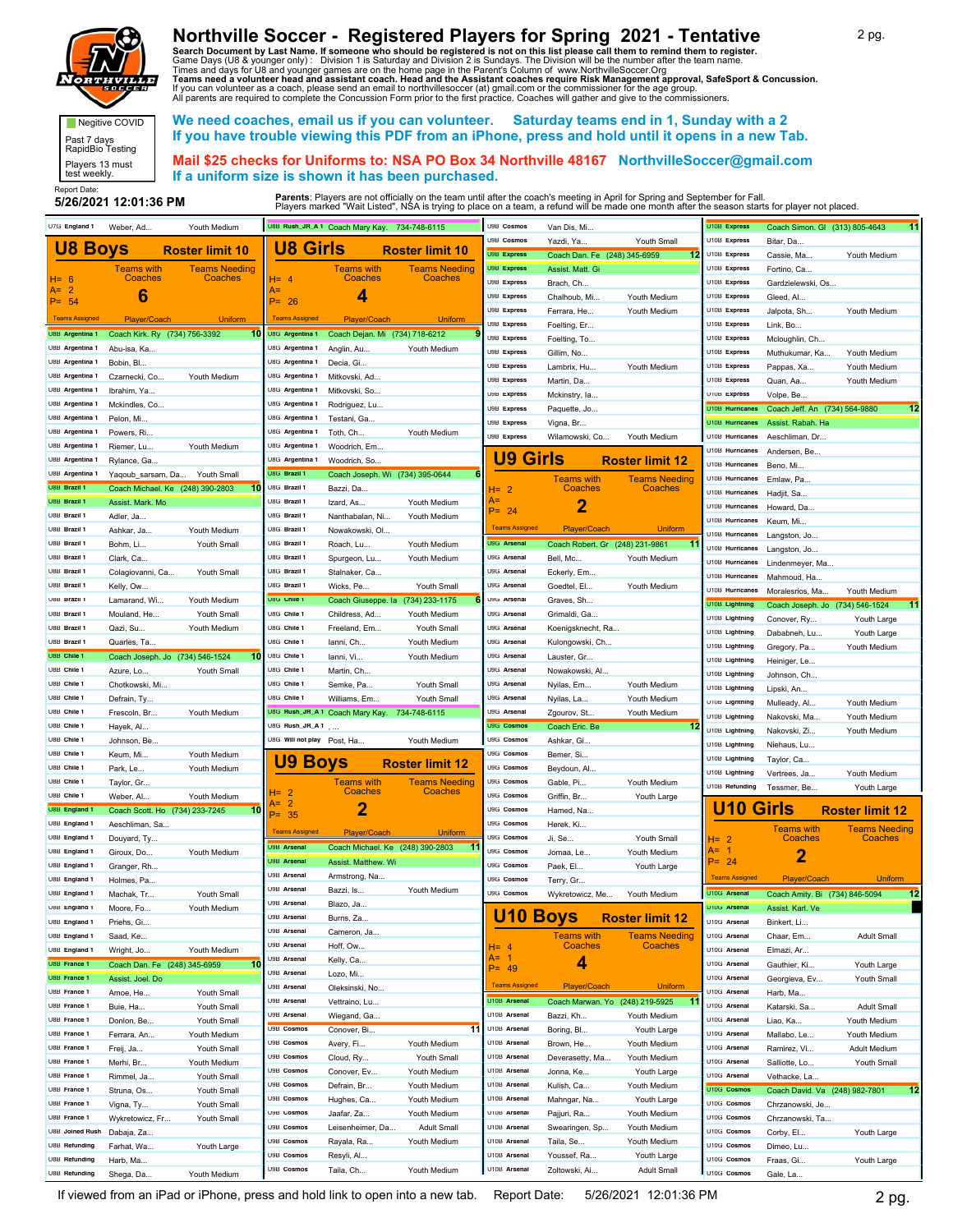

Negitive COVID Past 7 days RapidBio Testing Players 13 must test weekly.

## **Northville Soccer - Registered Players for Spring 2021 - Tentative**

Search Document by Last Name. If someone who should be registered is not on this list please call them to remind them to register.<br>Game Days (U8 & younger only) : Division 1 is Saturday and Division 2 is Sundays. The Divis

 **We need coaches, email us if you can volunteer. Saturday teams end in 1, Sunday with a 2 If you have trouble viewing this PDF from an iPhone, press and hold until it opens in a new Tab.**

 **Mail \$25 checks for Uniforms to: NSA PO Box 34 Northville 48167 NorthvilleSoccer@gmail.com If a uniform size is shown it has been purchased.**

Report Date:<br>5/26/2021 12:01:36 PM

| U7G England 1                  | Weber, Ad                       | Youth Medium                            |                            | U8B Rush_JR_A 1 Coach Mary Kay. 734-748-6115 |                                         | U9B Cosmos                   | Van Dis, Mi.                    |                                 | U10B Express           | Coach Simon. Gl (313) 805-4643  | 11                     |
|--------------------------------|---------------------------------|-----------------------------------------|----------------------------|----------------------------------------------|-----------------------------------------|------------------------------|---------------------------------|---------------------------------|------------------------|---------------------------------|------------------------|
|                                |                                 |                                         | <b>U8 Girls</b>            |                                              |                                         | U9B Cosmos                   | Yazdi, Ya                       | Youth Small                     | U10B Express           | Bitar, Da.                      |                        |
| <b>U8 Boys</b>                 |                                 | <b>Roster limit 10</b>                  |                            |                                              | <b>Roster limit 10</b>                  | <b>U9B Express</b>           | Coach Dan. Fe (248) 345-6959    | 12                              | U10B Express           | Cassie, Ma.                     | Youth Medium           |
|                                | Teams with                      | <b>Teams Needing</b>                    |                            | <b>Teams with</b>                            | <b>Teams Needing</b>                    | U9B Express                  | Assist. Matt. Gi                |                                 | U10B Express           | Fortino, Ca                     |                        |
| $H = 6$                        | Coaches                         | Coaches                                 | $H = 4$                    | Coaches                                      | Coaches                                 | U9B Express                  | Brach, Ch                       |                                 | U10B Express           | Gardzielewski, Os               |                        |
| A= 2<br>$P = 54$               | 6                               |                                         | A=<br>$P = 26$             | 4                                            |                                         | U9B Express                  | Chalhoub, Mi.                   | Youth Medium                    | U10B Express           | Gleed, Al                       |                        |
|                                |                                 |                                         |                            |                                              |                                         | U9B Express                  | Ferrara, He.,                   | Youth Medium                    | U10B Express           | Jalpota, Sh                     | Youth Medium           |
| <b>Teams Assigned</b>          | Player/Coach                    | <b>Uniform</b>                          | <b>Teams Assigned</b>      | Player/Coach                                 | Uniform                                 | U9B Express                  | Foelting, Er                    |                                 | U10B Express           | Link, Bo                        |                        |
| U8B Argentina 1                | Coach Kirk. Ry (734) 756-3392   | 10                                      | U8G Argentina 1            | Coach Dejan. Mi (734) 718-6212               |                                         | U9B Express                  | Foelting, To                    |                                 | U10B Express           | Mcloughlin, Ch                  |                        |
| U8B Argentina 1                | Abu-isa, Ka                     |                                         | U8G Argentina 1            | Anglin, Au                                   | Youth Medium                            | U9B Express                  | Gillim, No                      |                                 | U10B Express           | Muthukumar, Ka.                 | Youth Medium           |
| U8B Argentina 1                | Bobin, Bl.                      |                                         | U8G Argentina 1            | Decia, Gi                                    |                                         | U9B Express                  | Lambrix, Hu                     | Youth Medium                    | U10B Express           | Pappas, Xa                      | Youth Medium           |
| U8B Argentina 1                | Czarnecki, Co.,                 | Youth Medium                            | U8G Argentina 1            | Mitkovski, Ad                                |                                         | U9B Express                  | Martin, Da                      |                                 | U10B Express           | Quan, Aa                        | Youth Medium           |
| U8B Argentina 1                | Ibrahim, Ya                     |                                         | U8G Argentina 1            | Mitkovski, So.,                              |                                         | U9B Express                  | Mckinstry, la.                  |                                 | U10B Express           | Volpe, Be                       |                        |
| U8B Argentina 1                | Mckindles, Co                   |                                         | U8G Argentina 1            | Rodriguez, Lu                                |                                         | U9B Express                  | Paquette, Jo.                   |                                 | U10B Hurricanes        | Coach Jeff. An (734) 564-9880   | 12                     |
| U8B Argentina 1                | Pelon, Mi.                      |                                         | U8G Argentina 1            | Testani, Ga                                  |                                         | U9B Express                  | Vigna, Br.                      |                                 | <b>U10B Hurricanes</b> | Assist. Rabah. Ha               |                        |
| U8B Argentina 1                | Powers, Ri.,                    |                                         | U8G Argentina 1            | Toth, Ch                                     | Youth Medium                            | U9B Express                  | Wilamowski, Co                  | Youth Medium                    | U10B Hurricanes        | Aeschliman, Dr.                 |                        |
| U8B Argentina 1                | Riemer, Lu                      | Youth Medium                            | U8G Argentina 1            | Woodrich, Em                                 |                                         |                              |                                 |                                 | U10B Hurricanes        | Andersen, Be.                   |                        |
| U8B Argentina 1                | Rylance, Ga                     |                                         | U8G Argentina 1            | Woodrich, So                                 |                                         | <b>U9 Girls</b>              |                                 | <b>Roster limit 12</b>          | U10B Hurricanes        | Beno, Mi.                       |                        |
| U8B Argentina 1                | Yaqoub_sarsam, Da               | Youth Small                             | U8G Brazil 1               | Coach Joseph. Wi (734) 395-0644              | 6                                       |                              | <b>Teams with</b>               | Teams Needing                   | U10B Hurricanes        | Emlaw, Pa                       |                        |
| U8B Brazil 1                   |                                 | Coach Michael. Ke (248) 390-2803<br>-10 | U8G Brazil 1               | Bazzi, Da.                                   |                                         | H= 2                         | Coaches                         | Coaches                         | U10B Hurricanes        | Hadjit, Sa                      |                        |
| U8B Brazil 1                   | Assist. Mark. Mo                |                                         | U8G Brazil 1               | Izard, As                                    | Youth Medium                            | A=                           | 2                               |                                 | U10B Hurricanes        | Howard, Da                      |                        |
| U8B Brazil 1                   | Adler, Ja                       |                                         | U8G Brazil 1               | Nanthabalan, Ni                              | Youth Medium                            | $P = 24$                     |                                 |                                 | U10B Hurricanes        | Keum, Mi                        |                        |
| U8B Brazil 1                   | Ashkar, Ja.,                    | Youth Medium                            | U8G Brazil 1               | Nowakowski, OI.                              |                                         | <b>Teams Assigned</b>        | Player/Coach                    | <b>Uniform</b>                  | U10B Hurricanes        | Langston, Jo                    |                        |
| U8B Brazil 1                   | Bohm, Li                        | Youth Small                             | U8G Brazil 1               | Roach, Lu                                    | Youth Medium                            | U9G Arsenal                  | Coach Robert. Gr (248) 231-9861 |                                 | U10B Hurricanes        | Langston, Jo                    |                        |
| U8B Brazil 1                   | Clark, Ca                       |                                         | U8G Brazil 1               | Spurgeon, Lu                                 | Youth Medium                            | U9G Arsenal                  | Bell, Mc                        | Youth Medium                    | U10B Hurricanes        | Lindenmeyer, Ma.                |                        |
| U8B Brazil 1                   | Colagiovanni, Ca                | Youth Small                             | U8G Brazil 1               | Stalnaker, Ca                                |                                         | U9G Arsenal                  | Eckerly, Em                     |                                 | U10B Hurricanes        | Mahmoud, Ha.                    |                        |
| U8B Brazil 1                   | Kelly, Ow                       |                                         | U8G Brazil 1               | Wicks, Pe                                    | Youth Small                             | U9G Arsenal                  | Goedtel, El                     | Youth Medium                    | U10B Hurricanes        | Moralesrios, Ma                 | Youth Medium           |
| U8B Brazil 1                   | Lamarand, Wi                    | Youth Medium                            | U8G Chile 1                |                                              | Coach Giuseppe. la (734) 233-1175       | U9G Arsenal                  | Graves, Sh                      |                                 | U10B Lightning         | Coach Joseph. Jo (734) 546-1524 | 11                     |
| U8B Brazil 1                   | Mouland, He                     | Youth Small                             | U8G Chile 1                | Childress, Ad.                               | Youth Medium                            | U9G Arsenal                  | Grimaldi, Ga                    |                                 | U10B Lightning         | Conover, Ry                     | Youth Large            |
| U8B Brazil 1                   | Qazi, Su                        | Youth Medium                            | U8G Chile 1                | Freeland, Em.,                               | Youth Small                             | U9G Arsenal                  | Koenigsknecht, Ra               |                                 | U10B Lightning         | Dababneh, Lu                    | Youth Large            |
| U8B Brazil 1                   | Quarles, Ta                     |                                         | U8G Chile 1                | lanni, Ch                                    | Youth Medium                            | U9G Arsenal                  | Kulongowski, Ch.                |                                 | U10B Lightning         | Gregory, Pa                     | Youth Medium           |
| U8B Chile 1                    | Coach Joseph, Jo (734) 546-1524 | 10                                      | U8G Chile 1                | lanni, Vi                                    | Youth Medium                            | U9G Arsenal                  | Lauster, Gr                     |                                 | U10B Lightning         | Heiniger, Le                    |                        |
| U8B Chile 1                    | Azure, Lo                       | Youth Small                             | U8G Chile 1                | Martin, Ch                                   |                                         | U9G Arsenal                  | Nowakowski, Al.                 |                                 | U10B Lightning         | Johnson, Ch                     |                        |
| U8B Chile 1                    | Chotkowski, Mi                  |                                         | U8G Chile 1                | Semke, Pa                                    | Youth Small                             | U9G Arsenal                  | Nyilas, Em                      | Youth Medium                    | U10B Lightning         | Lipski, An                      |                        |
| U8B Chile 1                    | Defrain, Ty                     |                                         | U8G Chile 1                | Williams, Em                                 | Youth Small                             | U9G Arsenal                  | Nyilas, La                      | Youth Medium                    | U10B Lightning         | Mulleady, Al                    | Youth Medium           |
| U8B Chile 1                    | Frescoln, Br                    | Youth Medium                            |                            | U8G Rush_JR_A 1 Coach Mary Kay. 734-748-6115 |                                         | U9G Arsenal                  | Zgourov, St                     | Youth Medium                    | U10B Lightning         | Nakovski, Ma.                   | Youth Medium           |
| U8B Chile 1                    | Hayek, Al.                      |                                         | U8G Rush_JR_A 1            |                                              |                                         | U9G Cosmos                   | Coach Eric. Be                  | 12                              | U10B Lightning         | Nakovski, Zi.                   | Youth Medium           |
| U8B Chile 1                    | Johnson, Be                     |                                         | U8G Will not play Post, Ha |                                              | Youth Medium                            | U9G Cosmos                   | Ashkar, Gi                      |                                 | U10B Lightning         | Niehaus, Lu.                    |                        |
| U8B Chile 1                    | Keum, Mi                        | Youth Medium                            | <b>U9 Boys</b>             |                                              | <b>Roster limit 12</b>                  | U9G Cosmos                   | Bemer, Si                       |                                 | U10B Lightning         | Taylor, Ca.                     |                        |
| U8B Chile 1                    | Park, Le                        | Youth Medium                            |                            |                                              |                                         | U9G Cosmos                   | Beydoun, Al                     |                                 | U10B Lightning         | Vertrees, Ja.                   | Youth Medium           |
| U8B Chile 1                    | Taylor, Gr                      |                                         | $H = 2$                    | <b>Teams with</b><br>Coaches                 | <b>Teams Needing</b><br>Coaches         | U9G Cosmos                   | Gable, Pi                       | Youth Medium                    | U10B Refunding         | Tessmer, Be                     | Youth Large            |
| U8B Chile 1                    | Weber, Al                       | Youth Medium                            | А=<br>$\overline{2}$       |                                              |                                         | U9G Cosmos                   | Griffin, Br                     | Youth Large                     | <b>U10 Girls</b>       |                                 |                        |
| U8B England 1                  | Coach Scott. Ho (734) 233-7245  | 10                                      | $P = 35$                   | 2                                            |                                         | U9G Cosmos                   | Hamed, Na.                      |                                 |                        |                                 | <b>Roster limit 12</b> |
| U8B England 1<br>U8B England 1 | Aeschliman, Sa.                 |                                         | <b>Teams Assigned</b>      | Player/Coach                                 | <b>Uniform</b>                          | U9G Cosmos<br>U9G Cosmos     | Herek, Ki.                      |                                 |                        | Teams with                      | <b>Teams Needing</b>   |
| U8B England 1                  | Douyard, Ty                     |                                         | U9B Arsenal                |                                              | Coach Michael. Ke (248) 390-2803<br>-11 | U9G Cosmos                   | Ji, Se                          | Youth Small<br>Youth Medium     | $H = 2$<br>A=          | Coaches                         | Coaches                |
| U8B England 1                  | Giroux, Do<br>Granger, Rh       | Youth Medium                            | U9B Arsenal                | Assist, Matthew, Wi                          |                                         | U9G Cosmos                   | Jomaa, Le<br>Paek, El           | Youth Large                     | $P = 24$               | 2                               |                        |
| U8B England 1                  | Holmes, Pa                      |                                         | U9B Arsenal                | Armstrong, Na.                               |                                         | U9G Cosmos                   | Terry, Gr                       |                                 | <b>Teams Assigned</b>  | Player/Coach                    | <b>Uniform</b>         |
| U8B England 1                  | Machak, Tr                      | Youth Small                             | U9B Arsenal                | Bazzi, Is                                    | Youth Medium                            | U9G Cosmos                   | Wykretowicz, Me                 | Youth Medium                    | U10G Arsenal           | Coach Amity. Bi (734) 846-5094  | 12                     |
| U8B England 1                  | Moore, Fo                       | Youth Medium                            | U9B Arsenal                | Blazo, Ja                                    |                                         |                              |                                 |                                 | U10G Arsenal           | Assist. Karl. Ve                |                        |
| U8B England 1                  | Priehs, Gi                      |                                         | U9B Arsenal                | Burns, Za                                    |                                         | <b>U10 Boys</b>              |                                 | <b>Roster limit 12</b>          | U10G Arsenal           | Binkert, Li                     |                        |
| U8B England 1                  | Saad, Ke                        |                                         | U9B Arsenal                | Cameron, Ja                                  |                                         |                              | <b>Teams with</b>               | <b>Teams Needing</b>            | U10G Arsenal           | Chaar, Em                       | <b>Adult Small</b>     |
| U8B England 1                  | Wright, Jo                      | Youth Medium                            | U9B Arsenal                | Hoff, Ow                                     |                                         | $H = 4$                      | Coaches                         | Coaches                         | U10G Arsenal           | Elmazi, Ar                      |                        |
| U8B France 1                   | Coach Dan. Fe (248) 345-6959    | 10                                      | U9B Arsenal                | Kelly, Ca                                    |                                         | $A = 1$                      | 4                               |                                 | U10G Arsenal           | Gauthier, Ki                    | Youth Large            |
| U8B France 1                   | Assist. Joel. Do                |                                         | U9B Arsenal                | Lozo, Mi                                     |                                         | $P = 49$                     |                                 |                                 | U10G Arsenal           | Georgieva, Ev                   | Youth Small            |
| U8B France 1                   | Amoe, He                        | Youth Small                             | U9B Arsenal                | Oleksinski, No                               |                                         | <b>Teams Assigned</b>        | Player/Coach                    | <b>Uniform</b>                  | U10G Arsenal           | Harb, Ma                        |                        |
| U8B France 1                   | Buie, Ha                        | Youth Small                             | U9B Arsenal                | Vettraino, Lu                                |                                         | U10B Arsenal                 |                                 | Coach Marwan. Yo (248) 219-5925 | U10G Arsenal           | Katarski, Sa                    | <b>Adult Small</b>     |
| U8B France 1                   | Donlon, Be                      | Youth Small                             | U9B Arsenal                | Wiegand, Ga                                  |                                         | U10B Arsenal                 | Bazzi, Kh                       | Youth Medium                    | U10G Arsenal           | Liao, Ka                        | Youth Medium           |
| U8B France 1                   | Ferrara, An                     | Youth Medium                            | U9B Cosmos                 | Conover, Bi.                                 | 11                                      | U10B Arsenal                 | Boring, Bl                      | Youth Large                     | U10G Arsenal           | Mallabo, Le                     | Youth Medium           |
| U8B France 1                   | Freij, Ja                       | Youth Small                             | U9B Cosmos                 | Avery, Fi                                    | Youth Medium                            | U10B Arsenal                 | Brown, He                       | Youth Medium                    | U10G Arsenal           | Ramirez, Vi                     | Adult Medium           |
| U8B France 1                   | Merhi, Br                       | Youth Medium                            | U9B Cosmos                 | Cloud, Ry                                    | Youth Small                             | U10B Arsenal                 | Deverasetty, Ma                 | Youth Medium                    | U10G Arsenal           | Salliotte, Lo                   | Youth Small            |
| U8B France 1                   | Rimmel, Ja                      | Youth Small                             | U9B Cosmos                 | Conover, Ev                                  | Youth Medium                            | U10B Arsenal                 | Jonna, Ke                       | Youth Large                     | U10G Arsenal           | Vethacke, La                    |                        |
| U8B France 1                   |                                 |                                         | U9B Cosmos                 | Defrain, Br                                  | Youth Medium                            | U10B Arsenal                 | Kulish, Ca                      | Youth Medium                    | U10G Cosmos            | Coach David. Va (248) 982-7801  | 12                     |
|                                | Struna, Os                      | Youth Small                             |                            |                                              |                                         |                              |                                 |                                 |                        |                                 |                        |
| U8B France 1                   | Vigna, Ty                       | Youth Small                             | U9B Cosmos                 | Hughes, Ca                                   | Youth Medium                            | U10B Arsenal                 | Mahngar, Na                     | Youth Large                     | U10G Cosmos            | Chrzanowski, Je                 |                        |
| U8B France 1                   | Wykretowicz, Fr                 | Youth Small                             | U9B Cosmos                 | Jaafar, Za                                   | Youth Medium                            | U10B Arsenal                 | Pajjuri, Ra                     | Youth Medium                    | U10G Cosmos            | Chrzanowski, Ta                 |                        |
| U8B Joined Rush                | Dabaja, Za                      |                                         | U9B Cosmos                 | Leisenheimer, Da                             | <b>Adult Small</b>                      | U10B Arsenal                 | Swearingen, Sp                  | Youth Medium                    | U10G Cosmos            | Corby, El                       | Youth Large            |
| U8B Refunding                  | Farhat, Wa                      | Youth Large                             | U9B Cosmos                 | Rayala, Ra                                   | Youth Medium                            | U10B Arsenal                 | Taila, Se                       | Youth Medium                    | U10G Cosmos            | Dimeo, Lu                       |                        |
| U8B Refunding                  | Harb, Ma                        |                                         | U9B Cosmos<br>U9B Cosmos   | Resyli, Al                                   |                                         | U10B Arsenal<br>U10B Arsenal | Youssef, Ra                     | Youth Large                     | U10G Cosmos            | Fraas, Gi                       | Youth Large            |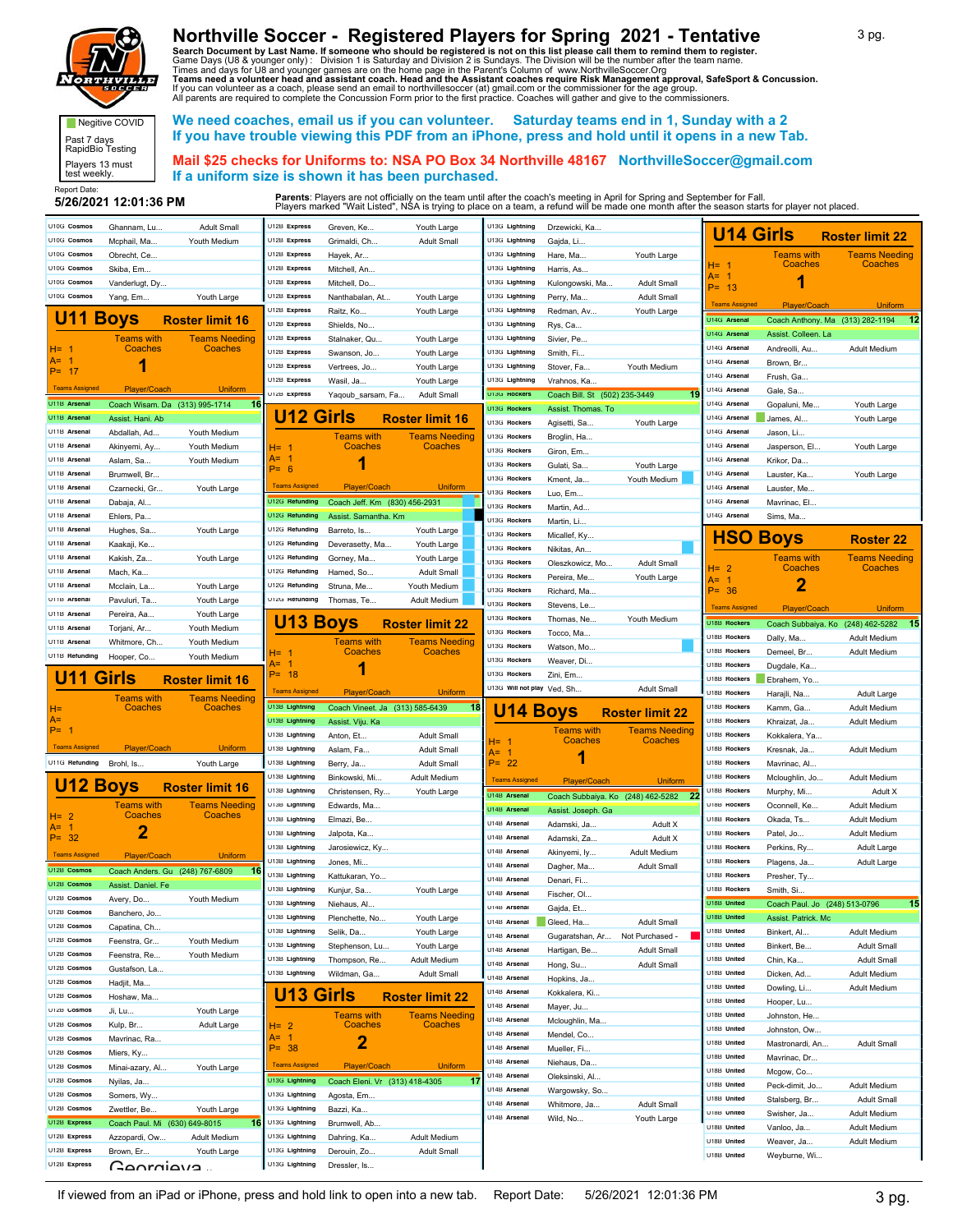

## **Northville Soccer - Registered Players for Spring 2021 - Tentative**

Search Document by Last Name. If someone who should be registered is not on this list please call them to remind them to register.<br>Game Days (U8 & younger only) : Division 1 is Saturday and Division 2 is Sundays. The Divis

Report Date:<br>5/26/2021 12:01:36 PM Negitive COVID Past 7 days RapidBio Testing Players 13 must test weekly.

 **We need coaches, email us if you can volunteer. Saturday teams end in 1, Sunday with a 2 If you have trouble viewing this PDF from an iPhone, press and hold until it opens in a new Tab.**

 **Mail \$25 checks for Uniforms to: NSA PO Box 34 Northville 48167 NorthvilleSoccer@gmail.com If a uniform size is shown it has been purchased.**

| <b>U14 Girls</b><br><b>Roster limit 22</b><br>U10G Cosmos<br>U12B Express<br>U13G Lightning<br>Mcphail, Ma<br>Youth Medium<br>Grimaldi, Ch<br><b>Adult Small</b><br>Gajda, Li.<br>U10G Cosmos<br>U12B Express<br>U13G Lightning<br><b>Teams Needing</b><br>Obrecht, Ce<br>Hayek, Ar<br>Hare, Ma<br>Youth Large<br><b>Teams with</b><br>Coaches<br>$H = 1$<br>Coaches<br>U10G Cosmos<br>U12B Express<br>U13G Lightning<br>Skiba, Em<br>Mitchell, An<br>Harris, As<br>A= 1<br>U10G Cosmos<br>U12B Express<br>U13G Lightning<br>Vanderlugt, Dy<br>Mitchell, Do<br>Kulongowski, Ma.<br><b>Adult Small</b><br>$P = 13$<br>U10G Cosmos<br>U12B Express<br>U13G Lightning<br>Yang, Em<br>Youth Large<br>Nanthabalan, At<br>Youth Large<br>Perry, Ma<br><b>Adult Small</b><br><b>Teams Assigned</b><br>Player/Coach<br>Uniform<br>U12B Express<br>U13G Lightning<br>Raitz, Ko<br>Youth Large<br>Redman, Av<br>Youth Large<br>U11<br><b>Boys</b><br>U14G Arsenal<br><b>Roster limit 16</b><br>Coach Anthony. Ma (313) 282-1194 12<br>U12B Express<br>U13G Lightning<br>Shields, No<br>Rys, Ca<br>U14G Arsena<br>Assist. Colleen. La<br>U12B Express<br>U13G Lightning<br>Teams with<br><u>Teams Needinc</u><br>Stalnaker, Qu<br>Youth Large<br>Sivier, Pe<br>U14G Arsenal<br>Coaches<br>Coaches<br>Andreolli, Au<br>Adult Medium<br>H= 1<br>U12B Express<br>U13G Lightning<br>Swanson, Jo.<br>Youth Large<br>Smith, Fi<br>A= 1<br>U14G Arsenal<br>Brown, Br<br>U12B Express<br>U13G Lightning<br>Vertrees, Jo<br>Youth Large<br>Stover, Fa<br>Youth Medium<br>$P = 17$<br>U14G Arsena<br>Frush, Ga<br>U12B Express<br>U13G Lightning<br>Wasil, Ja<br>Youth Large<br>Vrahnos, Ka<br><b>Teams Assigned</b><br>Player/Coach<br><b>Uniform</b><br>U14G Arsena<br>Gale, Sa<br>U12B Express<br>U13G Rockers<br>Coach Bill. St (502) 235-3449<br>Yaqoub_sarsam, Fa<br><b>Adult Small</b><br>U11B Arsenal<br>U14G Arsena<br>Coach Wisam. Da (313) 995-1714<br>-16<br>Gopaluni, Me<br>Youth Large<br>U13G Rockers<br>Assist. Thomas. To<br><b>U12 Girls</b><br>U11B Arsenal<br>U14G Arsenal<br><b>Roster limit 16</b><br>Assist. Hani. Ab<br>James, Al.<br>Youth Large<br>U13G Rockers<br>Agisetti, Sa<br>Youth Large<br>U11B Arsena<br>U14G Arsena<br>Abdallah, Ad<br>Youth Medium<br>Jason, Li<br>U13G Rockers<br><b>Teams with</b><br>Teams Needing<br>Broglin, Ha<br>U11B Arsena<br>U14G Arsenal<br>Youth Medium<br>Coaches<br>Coaches<br>Jasperson, El<br>Youth Large<br>Akinyemi, Ay<br>H= 1<br>U13G Rockers<br>Giron, Em<br>A=<br>U14G Arsenal<br>U11B Arsena<br>Aslam, Sa<br>Youth Medium<br>Krikor, Da<br>1<br>U13G Rockers<br>Gulati, Sa<br>Youth Large<br>$P = 6$<br>U11B Arsena<br>U14G Arsena<br>Brumwell, Br<br>Lauster, Ka<br>Youth Large<br>U13G Rockers<br>Kment, Ja<br>Youth Medium<br><b>Teams Assigned</b><br>Player/Coach<br><b>Uniform</b><br>U14G Arsenal<br>U11B Arsena<br>Czarnecki, Gr<br>Youth Large<br>Lauster, Me.<br>U13G Rockers<br>Luo, Em<br>U12G Refunding<br>U14G Arsena<br>U11B Arsena<br>Coach Jeff. Km (830) 456-2931<br>Dabaja, Al<br>Mavrinac, El<br>U13G Rockers<br>Martin, Ad<br>U12G Refunding<br>U14G Arsena<br>U11B Arsena<br>Ehlers, Pa<br>Assist. Samantha. Km<br>Sims, Ma<br>U13G Rockers<br>Martin, Li<br>U11B Arsena<br>U12G Refunding<br>Youth Large<br>Barreto, Is<br>Youth Large<br>Hughes, Sa<br>U13G Rockers<br>Micallef, Ky<br><b>HSO</b><br><b>Boys</b><br><b>Roster 22</b><br>U11B Arsena<br>U12G Refunding<br>Deverasetty, Ma<br>Youth Large<br>Kaakaji, Ke<br>U13G Rockers<br>Nikitas, An<br>U11B Arsena<br>U12G Refunding<br>Kakish, Za<br>Youth Large<br>Youth Large<br><b>Teams with</b><br><b>Teams Needing</b><br>Gorney, Ma<br>U13G Rockers<br>Oleszkowicz, Mo.<br><b>Adult Small</b><br>$H = 2$<br>Coaches<br>Coaches<br>U11B Arsena<br>U12G Refunding<br>Mach, Ka<br>Hamed, So<br><b>Adult Small</b><br>U13G Rockers<br>Pereira, Me<br>Youth Large<br>A=<br>2<br>U11B Arsena<br>U12G Refunding<br>Mcclain, La<br>Youth Large<br>Struna, Me<br>Youth Medium<br>$P = 36$<br>U13G Rockers<br>Richard, Ma<br>U12G Refunding<br>U11B Arsena<br>Pavuluri, Ta<br>Youth Large<br>Thomas, Te<br>Adult Medium<br>U13G Rockers<br>Stevens, Le<br><b>Teams Assigned</b><br><b>Uniform</b><br>Player/Coach<br>U11B Arsena<br>Pereira, Aa<br>Youth Large<br>U13G Rockers<br><b>U13 Boys</b><br>Thomas, Ne.<br>Youth Medium<br>U18B Rockers<br>$-15$<br><b>Roster limit 22</b><br>$(248)$ 462-5282<br>Coach Subbaiya. Ko<br>U11B Arsenal<br>Torjani, Ar<br>Youth Medium<br>U13G Rockers<br>Tocco, Ma<br>U18B Rockers<br>Dally, Ma<br><b>Adult Medium</b><br>U11B Arsena<br>Whitmore, Ch.<br>Youth Medium<br><b>Teams with</b><br><b>Teams Needing</b><br>U13G Rockers<br>Watson, Mo<br>U18B Rockers<br>Coaches<br>Coaches<br>Demeel, Br<br>Adult Medium<br>H= 1<br>U11B Refunding<br>Hooper, Co<br>Youth Medium<br>U13G Rockers<br>Weaver, Di.<br>A=<br>U18B Rockers<br>Dugdale, Ka<br>1<br>$P = 18$<br>U13G Rockers<br>U11<br>Zini, Em<br>Girls<br><b>Roster limit 16</b><br>U18B Rockers<br>Ebrahem, Yo<br>U13G Will not play Ved, Sh<br><b>Adult Small</b><br><b>Teams Assigned</b><br>Player/Coach<br><b>Uniform</b><br>U18B Rockers<br>Harajli, Na<br>Adult Large<br><b>Teams with</b><br><b>Teams Needing</b><br>U13B Lightning<br>U18B Rockers<br>Coach Vineet. Ja (313) 585-6439<br>18<br>Coaches<br>Coaches<br><b>U14 Boys</b><br>Kamm, Ga<br>Adult Medium<br>H=<br><b>Roster limit 22</b><br>A=<br>U13B Lightning<br>U18B Rockers<br>Assist. Viju. Ka<br>Khraizat, Ja.<br><b>Adult Medium</b><br>$P = 1$<br><b>Teams with</b><br>Teams Needing<br>U13B Lightning<br>U18B Rockers<br>Anton, Et<br><b>Adult Small</b><br>Kokkalera, Ya.<br>Coaches<br>Coaches<br>H= 1<br><b>Teams Assigned</b><br>Player/Coach<br><b>Uniform</b><br>U13B Lightning<br>U18B Rockers<br>Aslam, Fa<br><b>Adult Small</b><br>Kresnak, Ja.<br>Adult Medium<br>$A = 1$<br>U11G Refunding<br>U13B Lightning<br>$P = 22$<br>U18B Rockers<br>Brohl, Is<br>Youth Large<br><b>Adult Small</b><br>Mavrinac, Al<br>Berry, Ja<br>U13B Lightning<br>U18B Rockers<br>Binkowski, Mi.<br>Adult Medium<br>Mcloughlin, Jo.<br>Adult Medium<br><b>Teams Assigned</b><br>Player/Coach<br>Uniform<br><b>U12 Boys</b><br><b>Roster limit 16</b><br>U13B Lightning<br>U18B Rockers<br>Christensen, Ry.<br>Youth Large<br>Murphy, Mi<br>Adult X<br>U14B Arsenal<br>Coach Subbaiya. Ko (248) 462-5282<br>-22<br>U13B Lightning<br>U18B Rockers<br><b>Teams Needing</b><br>Teams with<br>Edwards, Ma.<br>Oconnell, Ke<br>Adult Medium<br>U14B Arsenal<br>Assist. Joseph. Ga<br>Coaches<br>Coaches<br>H= 2<br>U13B Lightning<br>U18B Rockers<br>Elmazi, Be<br>Okada, Ts<br><b>Adult Medium</b><br>U14B Arsenal<br>Adamski, Ja<br>Adult X<br>A= 1<br>2<br>U18B Rockers<br>U13B Lightning<br>Jalpota, Ka<br>Patel, Jo<br>Adult Medium<br>$P = 32$<br>U14B Arsenal<br>Adamski, Za<br>Adult X<br>U18B Rockers<br>U13B Lightning<br>Jarosiewicz, Ky<br>Perkins, Ry<br>Adult Large<br>U14B Arsenal<br>Akinyemi, ly<br>Adult Medium<br><b>Teams Assigned</b><br>Player/Coach<br><b>Uniform</b><br>U13B Lightning<br>U18B Rockers<br>Jones, Mi<br>Plagens, Ja<br>Adult Large<br>U14B Arsenal<br>Dagher, Ma<br><b>Adult Small</b><br>U12B Cosmos<br>Coach Anders. Gu (248) 767-6809<br>-16<br>U13B Lightning<br>U18B Rockers<br>Kattukaran, Yo<br>Presher, Ty<br>U14B Arsenal<br>Denari, Fi<br>U12B Cosmos<br>Assist. Daniel. Fe<br>U13B Lightning<br>U18B Rockers<br>Kunjur, Sa<br>Youth Large<br>Smith, Si<br>U14B Arsenal<br>Fischer, OI.<br>U12B Cosmos<br>Avery, Do<br>Youth Medium<br>U13B Lightning<br>U <sub>18</sub> B United<br>15<br>Niehaus, Al.<br>Coach Paul. Jo (248) 513-0796<br>U14B Arsenal<br>Gajda, Et<br>U12B Cost<br>Banchero, Jo<br>U13B Lightning<br>U18B United<br>Plenchette, No<br>Youth Large<br>Assist. Patrick. Mc<br>U14B Arsenal<br>Gleed, Ha<br><b>Adult Small</b><br>U12B Cosmos<br>Capatina, Ch<br>U13B Lightning<br>U18B United<br>Selik, Da<br>Youth Large<br>Binkert, Al<br><b>Adult Medium</b><br>U14B Arsenal<br>Gugaratshan, Ar<br>Not Purchased -<br>U12B Cosmos<br>Feenstra, Gr<br>Youth Medium<br>U13B Lightning<br>U18B United<br>Stephenson, Lu<br>Youth Large<br>Binkert, Be<br><b>Adult Small</b><br>U14B Arsenal<br>Hartigan, Be<br><b>Adult Small</b><br>U12B Cosmos<br>Feenstra, Re<br>Youth Medium<br>U18B United<br>U13B Lightning<br>Thompson, Re.<br>Adult Medium<br>Chin, Ka<br><b>Adult Small</b><br>U14B Arsenal<br>Hong, Su<br><b>Adult Small</b><br>U12B Cosmos<br>Gustafson, La<br>U13B Lightning<br>U18B United<br>Wildman, Ga<br><b>Adult Small</b><br>Dicken, Ad<br>Adult Medium<br>U14B Arsenal<br>Hopkins, Ja<br>U12B Cosmos<br>Hadjit, Ma<br>U18B United<br>Dowling, Li<br>Adult Medium<br>U14B Arsenal<br><b>U13 Girls</b><br>Kokkalera, Ki<br><b>Roster limit 22</b><br>U12B Cosmos<br>Hoshaw, Ma<br>U18B United<br>Hooper, Lu<br>U14B Arsenal<br>Mayer, Ju<br>U12B Cosmos<br>Ji, Lu<br>Youth Large<br>U18B United<br><b>Teams with</b><br><b>Teams Needing</b><br>Johnston, He<br>U14B Arsenal<br>Mcloughlin, Ma<br>U12B Cosmos<br>Kulp, Br<br><b>Adult Large</b><br>Coaches<br>Coaches<br>H= 2<br>U18B United<br>Johnston, Ow.<br>U14B Arsenal<br>Mendel, Co<br>A= 1<br>U12B Cosmos<br>Mavrinac, Ra<br>2<br>U18B United<br>Mastronardi, An<br><b>Adult Small</b><br>$P = 38$<br>U14B Arsenal<br>Mueller, Fi<br>U12B Cosmos<br>Miers, Ky<br>U18B United<br>Mavrinac, Dr<br>U14B Arsenal<br>Niehaus, Da<br><b>Teams Assigned</b><br>Player/Coach<br><b>Uniform</b><br>U12B Cosmos<br>Minai-azary, Al<br>Youth Large<br>U18B United<br>Mcgow, Co<br>U14B Arsenal<br>Oleksinski, Al<br>U13G Lightning<br>T<br>U12B Cosmos<br>Coach Eleni. Vr (313) 418-4305<br>Nyilas, Ja<br>U18B United<br>Peck-dimit, Jo<br>Adult Medium<br>U14B Arsenal<br>Wargowsky, So<br>U12B Cosmos<br>U13G Lightning<br>Somers, Wy<br>Agosta, Em<br>U18B United<br>Stalsberg, Br<br><b>Adult Small</b><br>U14B Arsenal<br>Whitmore, Ja<br><b>Adult Small</b><br>U12B Cosmos<br>U13G Lightning<br>Zwettler, Be<br>Youth Large<br>Bazzi, Ka<br>U18B United<br>Swisher, Ja<br>Adult Medium<br>U14B Arsenal<br>Wild, No<br>Youth Large<br>U12B Express<br>U13G Lightning<br>Coach Paul. Mi (630) 649-8015<br>16<br>Brumwell, Ab<br>U18B United<br>Vanloo, Ja<br>Adult Medium<br>U12B Express<br>U13G Lightning<br>Azzopardi, Ow<br>Adult Medium<br>Dahring, Ka<br>Adult Medium<br>U18B United<br>Weaver, Ja<br>Adult Medium<br>U12B Express<br>U13G Lightning<br>Brown, Er<br>Youth Large<br>Derouin, Zo<br><b>Adult Small</b><br>U18B United<br>Weyburne, Wi<br>U13G Lightning<br>U12B Express<br>Canrojava<br>Dressler, Is | U10G Cosmos | Ghannam, Lu | <b>Adult Small</b> | U12B Express | Greven, Ke | Youth Large | U13G Lightning | Drzewicki, Ka |  |  |
|----------------------------------------------------------------------------------------------------------------------------------------------------------------------------------------------------------------------------------------------------------------------------------------------------------------------------------------------------------------------------------------------------------------------------------------------------------------------------------------------------------------------------------------------------------------------------------------------------------------------------------------------------------------------------------------------------------------------------------------------------------------------------------------------------------------------------------------------------------------------------------------------------------------------------------------------------------------------------------------------------------------------------------------------------------------------------------------------------------------------------------------------------------------------------------------------------------------------------------------------------------------------------------------------------------------------------------------------------------------------------------------------------------------------------------------------------------------------------------------------------------------------------------------------------------------------------------------------------------------------------------------------------------------------------------------------------------------------------------------------------------------------------------------------------------------------------------------------------------------------------------------------------------------------------------------------------------------------------------------------------------------------------------------------------------------------------------------------------------------------------------------------------------------------------------------------------------------------------------------------------------------------------------------------------------------------------------------------------------------------------------------------------------------------------------------------------------------------------------------------------------------------------------------------------------------------------------------------------------------------------------------------------------------------------------------------------------------------------------------------------------------------------------------------------------------------------------------------------------------------------------------------------------------------------------------------------------------------------------------------------------------------------------------------------------------------------------------------------------------------------------------------------------------------------------------------------------------------------------------------------------------------------------------------------------------------------------------------------------------------------------------------------------------------------------------------------------------------------------------------------------------------------------------------------------------------------------------------------------------------------------------------------------------------------------------------------------------------------------------------------------------------------------------------------------------------------------------------------------------------------------------------------------------------------------------------------------------------------------------------------------------------------------------------------------------------------------------------------------------------------------------------------------------------------------------------------------------------------------------------------------------------------------------------------------------------------------------------------------------------------------------------------------------------------------------------------------------------------------------------------------------------------------------------------------------------------------------------------------------------------------------------------------------------------------------------------------------------------------------------------------------------------------------------------------------------------------------------------------------------------------------------------------------------------------------------------------------------------------------------------------------------------------------------------------------------------------------------------------------------------------------------------------------------------------------------------------------------------------------------------------------------------------------------------------------------------------------------------------------------------------------------------------------------------------------------------------------------------------------------------------------------------------------------------------------------------------------------------------------------------------------------------------------------------------------------------------------------------------------------------------------------------------------------------------------------------------------------------------------------------------------------------------------------------------------------------------------------------------------------------------------------------------------------------------------------------------------------------------------------------------------------------------------------------------------------------------------------------------------------------------------------------------------------------------------------------------------------------------------------------------------------------------------------------------------------------------------------------------------------------------------------------------------------------------------------------------------------------------------------------------------------------------------------------------------------------------------------------------------------------------------------------------------------------------------------------------------------------------------------------------------------------------------------------------------------------------------------------------------------------------------------------------------------------------------------------------------------------------------------------------------------------------------------------------------------------------------------------------------------------------------------------------------------------------------------------------------------------------------------------------------------------------------------------------------------------------------------------------------------------------------------------------------------------------------------------------------------------------------------------------------------------------------------------------------------------------------------------------------------------------------------------------------------------------------------------------------------------------------------------------------------------------------------------------------------------------------------------------------------------------------------------------------------------------------------------------------------------------------------------------------------------------------------------------------------------------------------------------------------------------------------------------------------------------------------------------------------------------------------------------------------------------------------------------------------------------------------------------------------------------------------------------------------------------------------------------------------------------------------------------------------------------------------------------------------------------------------------------------------------------------------------------------------------------------------------------------------------------------------------------------------------------------------------------------------------------------------------------------------------------------------------------------------------------------------------------------------------------------------------------------------------------------------------------------------------------------------------------------------------------------------------------------------------------------------------------------------------------------------------------------------------------------------------------------------------------------------------------------------------------------------------------------------------------------------------------------------------------------------------------------------------------------------------------------------------------------------------------------------------------------------------------------------------------------------------------------------------------------------------------------------------------------------------------------------------------------------------------------------------------------------------------------------------------------------------------------------------------------------------------------------------------------------------------------------------------------------------------------------------------------------------------------------------------------------------------------------------------------------------------------------------------------------------------------------------------------------------------------------------------------------------------------------------------------------------------------------------------------------------------------------------------|-------------|-------------|--------------------|--------------|------------|-------------|----------------|---------------|--|--|
|                                                                                                                                                                                                                                                                                                                                                                                                                                                                                                                                                                                                                                                                                                                                                                                                                                                                                                                                                                                                                                                                                                                                                                                                                                                                                                                                                                                                                                                                                                                                                                                                                                                                                                                                                                                                                                                                                                                                                                                                                                                                                                                                                                                                                                                                                                                                                                                                                                                                                                                                                                                                                                                                                                                                                                                                                                                                                                                                                                                                                                                                                                                                                                                                                                                                                                                                                                                                                                                                                                                                                                                                                                                                                                                                                                                                                                                                                                                                                                                                                                                                                                                                                                                                                                                                                                                                                                                                                                                                                                                                                                                                                                                                                                                                                                                                                                                                                                                                                                                                                                                                                                                                                                                                                                                                                                                                                                                                                                                                                                                                                                                                                                                                                                                                                                                                                                                                                                                                                                                                                                                                                                                                                                                                                                                                                                                                                                                                                                                                                                                                                                                                                                                                                                                                                                                                                                                                                                                                                                                                                                                                                                                                                                                                                                                                                                                                                                                                                                                                                                                                                                                                                                                                                                                                                                                                                                                                                                                                                                                                                                                                                                                                                                                                                                                                                                                                                                                                                                                                                                                                                                                                                                                                                                                                                                                                                                                                                                                                                                                                                                                                                                                                                                                                                                                                                                                                                                                                                                                                                                                                                                                                                                                                                                                                                                                                                                                                                                                                                                                                                                                                                                                                                                                                                                                                                                                                                                                                                                                                                                                                                                                                                                                          |             |             |                    |              |            |             |                |               |  |  |
|                                                                                                                                                                                                                                                                                                                                                                                                                                                                                                                                                                                                                                                                                                                                                                                                                                                                                                                                                                                                                                                                                                                                                                                                                                                                                                                                                                                                                                                                                                                                                                                                                                                                                                                                                                                                                                                                                                                                                                                                                                                                                                                                                                                                                                                                                                                                                                                                                                                                                                                                                                                                                                                                                                                                                                                                                                                                                                                                                                                                                                                                                                                                                                                                                                                                                                                                                                                                                                                                                                                                                                                                                                                                                                                                                                                                                                                                                                                                                                                                                                                                                                                                                                                                                                                                                                                                                                                                                                                                                                                                                                                                                                                                                                                                                                                                                                                                                                                                                                                                                                                                                                                                                                                                                                                                                                                                                                                                                                                                                                                                                                                                                                                                                                                                                                                                                                                                                                                                                                                                                                                                                                                                                                                                                                                                                                                                                                                                                                                                                                                                                                                                                                                                                                                                                                                                                                                                                                                                                                                                                                                                                                                                                                                                                                                                                                                                                                                                                                                                                                                                                                                                                                                                                                                                                                                                                                                                                                                                                                                                                                                                                                                                                                                                                                                                                                                                                                                                                                                                                                                                                                                                                                                                                                                                                                                                                                                                                                                                                                                                                                                                                                                                                                                                                                                                                                                                                                                                                                                                                                                                                                                                                                                                                                                                                                                                                                                                                                                                                                                                                                                                                                                                                                                                                                                                                                                                                                                                                                                                                                                                                                                                                                                          |             |             |                    |              |            |             |                |               |  |  |
|                                                                                                                                                                                                                                                                                                                                                                                                                                                                                                                                                                                                                                                                                                                                                                                                                                                                                                                                                                                                                                                                                                                                                                                                                                                                                                                                                                                                                                                                                                                                                                                                                                                                                                                                                                                                                                                                                                                                                                                                                                                                                                                                                                                                                                                                                                                                                                                                                                                                                                                                                                                                                                                                                                                                                                                                                                                                                                                                                                                                                                                                                                                                                                                                                                                                                                                                                                                                                                                                                                                                                                                                                                                                                                                                                                                                                                                                                                                                                                                                                                                                                                                                                                                                                                                                                                                                                                                                                                                                                                                                                                                                                                                                                                                                                                                                                                                                                                                                                                                                                                                                                                                                                                                                                                                                                                                                                                                                                                                                                                                                                                                                                                                                                                                                                                                                                                                                                                                                                                                                                                                                                                                                                                                                                                                                                                                                                                                                                                                                                                                                                                                                                                                                                                                                                                                                                                                                                                                                                                                                                                                                                                                                                                                                                                                                                                                                                                                                                                                                                                                                                                                                                                                                                                                                                                                                                                                                                                                                                                                                                                                                                                                                                                                                                                                                                                                                                                                                                                                                                                                                                                                                                                                                                                                                                                                                                                                                                                                                                                                                                                                                                                                                                                                                                                                                                                                                                                                                                                                                                                                                                                                                                                                                                                                                                                                                                                                                                                                                                                                                                                                                                                                                                                                                                                                                                                                                                                                                                                                                                                                                                                                                                                                          |             |             |                    |              |            |             |                |               |  |  |
|                                                                                                                                                                                                                                                                                                                                                                                                                                                                                                                                                                                                                                                                                                                                                                                                                                                                                                                                                                                                                                                                                                                                                                                                                                                                                                                                                                                                                                                                                                                                                                                                                                                                                                                                                                                                                                                                                                                                                                                                                                                                                                                                                                                                                                                                                                                                                                                                                                                                                                                                                                                                                                                                                                                                                                                                                                                                                                                                                                                                                                                                                                                                                                                                                                                                                                                                                                                                                                                                                                                                                                                                                                                                                                                                                                                                                                                                                                                                                                                                                                                                                                                                                                                                                                                                                                                                                                                                                                                                                                                                                                                                                                                                                                                                                                                                                                                                                                                                                                                                                                                                                                                                                                                                                                                                                                                                                                                                                                                                                                                                                                                                                                                                                                                                                                                                                                                                                                                                                                                                                                                                                                                                                                                                                                                                                                                                                                                                                                                                                                                                                                                                                                                                                                                                                                                                                                                                                                                                                                                                                                                                                                                                                                                                                                                                                                                                                                                                                                                                                                                                                                                                                                                                                                                                                                                                                                                                                                                                                                                                                                                                                                                                                                                                                                                                                                                                                                                                                                                                                                                                                                                                                                                                                                                                                                                                                                                                                                                                                                                                                                                                                                                                                                                                                                                                                                                                                                                                                                                                                                                                                                                                                                                                                                                                                                                                                                                                                                                                                                                                                                                                                                                                                                                                                                                                                                                                                                                                                                                                                                                                                                                                                                                          |             |             |                    |              |            |             |                |               |  |  |
|                                                                                                                                                                                                                                                                                                                                                                                                                                                                                                                                                                                                                                                                                                                                                                                                                                                                                                                                                                                                                                                                                                                                                                                                                                                                                                                                                                                                                                                                                                                                                                                                                                                                                                                                                                                                                                                                                                                                                                                                                                                                                                                                                                                                                                                                                                                                                                                                                                                                                                                                                                                                                                                                                                                                                                                                                                                                                                                                                                                                                                                                                                                                                                                                                                                                                                                                                                                                                                                                                                                                                                                                                                                                                                                                                                                                                                                                                                                                                                                                                                                                                                                                                                                                                                                                                                                                                                                                                                                                                                                                                                                                                                                                                                                                                                                                                                                                                                                                                                                                                                                                                                                                                                                                                                                                                                                                                                                                                                                                                                                                                                                                                                                                                                                                                                                                                                                                                                                                                                                                                                                                                                                                                                                                                                                                                                                                                                                                                                                                                                                                                                                                                                                                                                                                                                                                                                                                                                                                                                                                                                                                                                                                                                                                                                                                                                                                                                                                                                                                                                                                                                                                                                                                                                                                                                                                                                                                                                                                                                                                                                                                                                                                                                                                                                                                                                                                                                                                                                                                                                                                                                                                                                                                                                                                                                                                                                                                                                                                                                                                                                                                                                                                                                                                                                                                                                                                                                                                                                                                                                                                                                                                                                                                                                                                                                                                                                                                                                                                                                                                                                                                                                                                                                                                                                                                                                                                                                                                                                                                                                                                                                                                                                                          |             |             |                    |              |            |             |                |               |  |  |
|                                                                                                                                                                                                                                                                                                                                                                                                                                                                                                                                                                                                                                                                                                                                                                                                                                                                                                                                                                                                                                                                                                                                                                                                                                                                                                                                                                                                                                                                                                                                                                                                                                                                                                                                                                                                                                                                                                                                                                                                                                                                                                                                                                                                                                                                                                                                                                                                                                                                                                                                                                                                                                                                                                                                                                                                                                                                                                                                                                                                                                                                                                                                                                                                                                                                                                                                                                                                                                                                                                                                                                                                                                                                                                                                                                                                                                                                                                                                                                                                                                                                                                                                                                                                                                                                                                                                                                                                                                                                                                                                                                                                                                                                                                                                                                                                                                                                                                                                                                                                                                                                                                                                                                                                                                                                                                                                                                                                                                                                                                                                                                                                                                                                                                                                                                                                                                                                                                                                                                                                                                                                                                                                                                                                                                                                                                                                                                                                                                                                                                                                                                                                                                                                                                                                                                                                                                                                                                                                                                                                                                                                                                                                                                                                                                                                                                                                                                                                                                                                                                                                                                                                                                                                                                                                                                                                                                                                                                                                                                                                                                                                                                                                                                                                                                                                                                                                                                                                                                                                                                                                                                                                                                                                                                                                                                                                                                                                                                                                                                                                                                                                                                                                                                                                                                                                                                                                                                                                                                                                                                                                                                                                                                                                                                                                                                                                                                                                                                                                                                                                                                                                                                                                                                                                                                                                                                                                                                                                                                                                                                                                                                                                                                                          |             |             |                    |              |            |             |                |               |  |  |
|                                                                                                                                                                                                                                                                                                                                                                                                                                                                                                                                                                                                                                                                                                                                                                                                                                                                                                                                                                                                                                                                                                                                                                                                                                                                                                                                                                                                                                                                                                                                                                                                                                                                                                                                                                                                                                                                                                                                                                                                                                                                                                                                                                                                                                                                                                                                                                                                                                                                                                                                                                                                                                                                                                                                                                                                                                                                                                                                                                                                                                                                                                                                                                                                                                                                                                                                                                                                                                                                                                                                                                                                                                                                                                                                                                                                                                                                                                                                                                                                                                                                                                                                                                                                                                                                                                                                                                                                                                                                                                                                                                                                                                                                                                                                                                                                                                                                                                                                                                                                                                                                                                                                                                                                                                                                                                                                                                                                                                                                                                                                                                                                                                                                                                                                                                                                                                                                                                                                                                                                                                                                                                                                                                                                                                                                                                                                                                                                                                                                                                                                                                                                                                                                                                                                                                                                                                                                                                                                                                                                                                                                                                                                                                                                                                                                                                                                                                                                                                                                                                                                                                                                                                                                                                                                                                                                                                                                                                                                                                                                                                                                                                                                                                                                                                                                                                                                                                                                                                                                                                                                                                                                                                                                                                                                                                                                                                                                                                                                                                                                                                                                                                                                                                                                                                                                                                                                                                                                                                                                                                                                                                                                                                                                                                                                                                                                                                                                                                                                                                                                                                                                                                                                                                                                                                                                                                                                                                                                                                                                                                                                                                                                                                                          |             |             |                    |              |            |             |                |               |  |  |
|                                                                                                                                                                                                                                                                                                                                                                                                                                                                                                                                                                                                                                                                                                                                                                                                                                                                                                                                                                                                                                                                                                                                                                                                                                                                                                                                                                                                                                                                                                                                                                                                                                                                                                                                                                                                                                                                                                                                                                                                                                                                                                                                                                                                                                                                                                                                                                                                                                                                                                                                                                                                                                                                                                                                                                                                                                                                                                                                                                                                                                                                                                                                                                                                                                                                                                                                                                                                                                                                                                                                                                                                                                                                                                                                                                                                                                                                                                                                                                                                                                                                                                                                                                                                                                                                                                                                                                                                                                                                                                                                                                                                                                                                                                                                                                                                                                                                                                                                                                                                                                                                                                                                                                                                                                                                                                                                                                                                                                                                                                                                                                                                                                                                                                                                                                                                                                                                                                                                                                                                                                                                                                                                                                                                                                                                                                                                                                                                                                                                                                                                                                                                                                                                                                                                                                                                                                                                                                                                                                                                                                                                                                                                                                                                                                                                                                                                                                                                                                                                                                                                                                                                                                                                                                                                                                                                                                                                                                                                                                                                                                                                                                                                                                                                                                                                                                                                                                                                                                                                                                                                                                                                                                                                                                                                                                                                                                                                                                                                                                                                                                                                                                                                                                                                                                                                                                                                                                                                                                                                                                                                                                                                                                                                                                                                                                                                                                                                                                                                                                                                                                                                                                                                                                                                                                                                                                                                                                                                                                                                                                                                                                                                                                                          |             |             |                    |              |            |             |                |               |  |  |
|                                                                                                                                                                                                                                                                                                                                                                                                                                                                                                                                                                                                                                                                                                                                                                                                                                                                                                                                                                                                                                                                                                                                                                                                                                                                                                                                                                                                                                                                                                                                                                                                                                                                                                                                                                                                                                                                                                                                                                                                                                                                                                                                                                                                                                                                                                                                                                                                                                                                                                                                                                                                                                                                                                                                                                                                                                                                                                                                                                                                                                                                                                                                                                                                                                                                                                                                                                                                                                                                                                                                                                                                                                                                                                                                                                                                                                                                                                                                                                                                                                                                                                                                                                                                                                                                                                                                                                                                                                                                                                                                                                                                                                                                                                                                                                                                                                                                                                                                                                                                                                                                                                                                                                                                                                                                                                                                                                                                                                                                                                                                                                                                                                                                                                                                                                                                                                                                                                                                                                                                                                                                                                                                                                                                                                                                                                                                                                                                                                                                                                                                                                                                                                                                                                                                                                                                                                                                                                                                                                                                                                                                                                                                                                                                                                                                                                                                                                                                                                                                                                                                                                                                                                                                                                                                                                                                                                                                                                                                                                                                                                                                                                                                                                                                                                                                                                                                                                                                                                                                                                                                                                                                                                                                                                                                                                                                                                                                                                                                                                                                                                                                                                                                                                                                                                                                                                                                                                                                                                                                                                                                                                                                                                                                                                                                                                                                                                                                                                                                                                                                                                                                                                                                                                                                                                                                                                                                                                                                                                                                                                                                                                                                                                                          |             |             |                    |              |            |             |                |               |  |  |
|                                                                                                                                                                                                                                                                                                                                                                                                                                                                                                                                                                                                                                                                                                                                                                                                                                                                                                                                                                                                                                                                                                                                                                                                                                                                                                                                                                                                                                                                                                                                                                                                                                                                                                                                                                                                                                                                                                                                                                                                                                                                                                                                                                                                                                                                                                                                                                                                                                                                                                                                                                                                                                                                                                                                                                                                                                                                                                                                                                                                                                                                                                                                                                                                                                                                                                                                                                                                                                                                                                                                                                                                                                                                                                                                                                                                                                                                                                                                                                                                                                                                                                                                                                                                                                                                                                                                                                                                                                                                                                                                                                                                                                                                                                                                                                                                                                                                                                                                                                                                                                                                                                                                                                                                                                                                                                                                                                                                                                                                                                                                                                                                                                                                                                                                                                                                                                                                                                                                                                                                                                                                                                                                                                                                                                                                                                                                                                                                                                                                                                                                                                                                                                                                                                                                                                                                                                                                                                                                                                                                                                                                                                                                                                                                                                                                                                                                                                                                                                                                                                                                                                                                                                                                                                                                                                                                                                                                                                                                                                                                                                                                                                                                                                                                                                                                                                                                                                                                                                                                                                                                                                                                                                                                                                                                                                                                                                                                                                                                                                                                                                                                                                                                                                                                                                                                                                                                                                                                                                                                                                                                                                                                                                                                                                                                                                                                                                                                                                                                                                                                                                                                                                                                                                                                                                                                                                                                                                                                                                                                                                                                                                                                                                                          |             |             |                    |              |            |             |                |               |  |  |
|                                                                                                                                                                                                                                                                                                                                                                                                                                                                                                                                                                                                                                                                                                                                                                                                                                                                                                                                                                                                                                                                                                                                                                                                                                                                                                                                                                                                                                                                                                                                                                                                                                                                                                                                                                                                                                                                                                                                                                                                                                                                                                                                                                                                                                                                                                                                                                                                                                                                                                                                                                                                                                                                                                                                                                                                                                                                                                                                                                                                                                                                                                                                                                                                                                                                                                                                                                                                                                                                                                                                                                                                                                                                                                                                                                                                                                                                                                                                                                                                                                                                                                                                                                                                                                                                                                                                                                                                                                                                                                                                                                                                                                                                                                                                                                                                                                                                                                                                                                                                                                                                                                                                                                                                                                                                                                                                                                                                                                                                                                                                                                                                                                                                                                                                                                                                                                                                                                                                                                                                                                                                                                                                                                                                                                                                                                                                                                                                                                                                                                                                                                                                                                                                                                                                                                                                                                                                                                                                                                                                                                                                                                                                                                                                                                                                                                                                                                                                                                                                                                                                                                                                                                                                                                                                                                                                                                                                                                                                                                                                                                                                                                                                                                                                                                                                                                                                                                                                                                                                                                                                                                                                                                                                                                                                                                                                                                                                                                                                                                                                                                                                                                                                                                                                                                                                                                                                                                                                                                                                                                                                                                                                                                                                                                                                                                                                                                                                                                                                                                                                                                                                                                                                                                                                                                                                                                                                                                                                                                                                                                                                                                                                                                                          |             |             |                    |              |            |             |                |               |  |  |
|                                                                                                                                                                                                                                                                                                                                                                                                                                                                                                                                                                                                                                                                                                                                                                                                                                                                                                                                                                                                                                                                                                                                                                                                                                                                                                                                                                                                                                                                                                                                                                                                                                                                                                                                                                                                                                                                                                                                                                                                                                                                                                                                                                                                                                                                                                                                                                                                                                                                                                                                                                                                                                                                                                                                                                                                                                                                                                                                                                                                                                                                                                                                                                                                                                                                                                                                                                                                                                                                                                                                                                                                                                                                                                                                                                                                                                                                                                                                                                                                                                                                                                                                                                                                                                                                                                                                                                                                                                                                                                                                                                                                                                                                                                                                                                                                                                                                                                                                                                                                                                                                                                                                                                                                                                                                                                                                                                                                                                                                                                                                                                                                                                                                                                                                                                                                                                                                                                                                                                                                                                                                                                                                                                                                                                                                                                                                                                                                                                                                                                                                                                                                                                                                                                                                                                                                                                                                                                                                                                                                                                                                                                                                                                                                                                                                                                                                                                                                                                                                                                                                                                                                                                                                                                                                                                                                                                                                                                                                                                                                                                                                                                                                                                                                                                                                                                                                                                                                                                                                                                                                                                                                                                                                                                                                                                                                                                                                                                                                                                                                                                                                                                                                                                                                                                                                                                                                                                                                                                                                                                                                                                                                                                                                                                                                                                                                                                                                                                                                                                                                                                                                                                                                                                                                                                                                                                                                                                                                                                                                                                                                                                                                                                                          |             |             |                    |              |            |             |                |               |  |  |
|                                                                                                                                                                                                                                                                                                                                                                                                                                                                                                                                                                                                                                                                                                                                                                                                                                                                                                                                                                                                                                                                                                                                                                                                                                                                                                                                                                                                                                                                                                                                                                                                                                                                                                                                                                                                                                                                                                                                                                                                                                                                                                                                                                                                                                                                                                                                                                                                                                                                                                                                                                                                                                                                                                                                                                                                                                                                                                                                                                                                                                                                                                                                                                                                                                                                                                                                                                                                                                                                                                                                                                                                                                                                                                                                                                                                                                                                                                                                                                                                                                                                                                                                                                                                                                                                                                                                                                                                                                                                                                                                                                                                                                                                                                                                                                                                                                                                                                                                                                                                                                                                                                                                                                                                                                                                                                                                                                                                                                                                                                                                                                                                                                                                                                                                                                                                                                                                                                                                                                                                                                                                                                                                                                                                                                                                                                                                                                                                                                                                                                                                                                                                                                                                                                                                                                                                                                                                                                                                                                                                                                                                                                                                                                                                                                                                                                                                                                                                                                                                                                                                                                                                                                                                                                                                                                                                                                                                                                                                                                                                                                                                                                                                                                                                                                                                                                                                                                                                                                                                                                                                                                                                                                                                                                                                                                                                                                                                                                                                                                                                                                                                                                                                                                                                                                                                                                                                                                                                                                                                                                                                                                                                                                                                                                                                                                                                                                                                                                                                                                                                                                                                                                                                                                                                                                                                                                                                                                                                                                                                                                                                                                                                                                                          |             |             |                    |              |            |             |                |               |  |  |
|                                                                                                                                                                                                                                                                                                                                                                                                                                                                                                                                                                                                                                                                                                                                                                                                                                                                                                                                                                                                                                                                                                                                                                                                                                                                                                                                                                                                                                                                                                                                                                                                                                                                                                                                                                                                                                                                                                                                                                                                                                                                                                                                                                                                                                                                                                                                                                                                                                                                                                                                                                                                                                                                                                                                                                                                                                                                                                                                                                                                                                                                                                                                                                                                                                                                                                                                                                                                                                                                                                                                                                                                                                                                                                                                                                                                                                                                                                                                                                                                                                                                                                                                                                                                                                                                                                                                                                                                                                                                                                                                                                                                                                                                                                                                                                                                                                                                                                                                                                                                                                                                                                                                                                                                                                                                                                                                                                                                                                                                                                                                                                                                                                                                                                                                                                                                                                                                                                                                                                                                                                                                                                                                                                                                                                                                                                                                                                                                                                                                                                                                                                                                                                                                                                                                                                                                                                                                                                                                                                                                                                                                                                                                                                                                                                                                                                                                                                                                                                                                                                                                                                                                                                                                                                                                                                                                                                                                                                                                                                                                                                                                                                                                                                                                                                                                                                                                                                                                                                                                                                                                                                                                                                                                                                                                                                                                                                                                                                                                                                                                                                                                                                                                                                                                                                                                                                                                                                                                                                                                                                                                                                                                                                                                                                                                                                                                                                                                                                                                                                                                                                                                                                                                                                                                                                                                                                                                                                                                                                                                                                                                                                                                                                                          |             |             |                    |              |            |             |                |               |  |  |
|                                                                                                                                                                                                                                                                                                                                                                                                                                                                                                                                                                                                                                                                                                                                                                                                                                                                                                                                                                                                                                                                                                                                                                                                                                                                                                                                                                                                                                                                                                                                                                                                                                                                                                                                                                                                                                                                                                                                                                                                                                                                                                                                                                                                                                                                                                                                                                                                                                                                                                                                                                                                                                                                                                                                                                                                                                                                                                                                                                                                                                                                                                                                                                                                                                                                                                                                                                                                                                                                                                                                                                                                                                                                                                                                                                                                                                                                                                                                                                                                                                                                                                                                                                                                                                                                                                                                                                                                                                                                                                                                                                                                                                                                                                                                                                                                                                                                                                                                                                                                                                                                                                                                                                                                                                                                                                                                                                                                                                                                                                                                                                                                                                                                                                                                                                                                                                                                                                                                                                                                                                                                                                                                                                                                                                                                                                                                                                                                                                                                                                                                                                                                                                                                                                                                                                                                                                                                                                                                                                                                                                                                                                                                                                                                                                                                                                                                                                                                                                                                                                                                                                                                                                                                                                                                                                                                                                                                                                                                                                                                                                                                                                                                                                                                                                                                                                                                                                                                                                                                                                                                                                                                                                                                                                                                                                                                                                                                                                                                                                                                                                                                                                                                                                                                                                                                                                                                                                                                                                                                                                                                                                                                                                                                                                                                                                                                                                                                                                                                                                                                                                                                                                                                                                                                                                                                                                                                                                                                                                                                                                                                                                                                                                                          |             |             |                    |              |            |             |                |               |  |  |
|                                                                                                                                                                                                                                                                                                                                                                                                                                                                                                                                                                                                                                                                                                                                                                                                                                                                                                                                                                                                                                                                                                                                                                                                                                                                                                                                                                                                                                                                                                                                                                                                                                                                                                                                                                                                                                                                                                                                                                                                                                                                                                                                                                                                                                                                                                                                                                                                                                                                                                                                                                                                                                                                                                                                                                                                                                                                                                                                                                                                                                                                                                                                                                                                                                                                                                                                                                                                                                                                                                                                                                                                                                                                                                                                                                                                                                                                                                                                                                                                                                                                                                                                                                                                                                                                                                                                                                                                                                                                                                                                                                                                                                                                                                                                                                                                                                                                                                                                                                                                                                                                                                                                                                                                                                                                                                                                                                                                                                                                                                                                                                                                                                                                                                                                                                                                                                                                                                                                                                                                                                                                                                                                                                                                                                                                                                                                                                                                                                                                                                                                                                                                                                                                                                                                                                                                                                                                                                                                                                                                                                                                                                                                                                                                                                                                                                                                                                                                                                                                                                                                                                                                                                                                                                                                                                                                                                                                                                                                                                                                                                                                                                                                                                                                                                                                                                                                                                                                                                                                                                                                                                                                                                                                                                                                                                                                                                                                                                                                                                                                                                                                                                                                                                                                                                                                                                                                                                                                                                                                                                                                                                                                                                                                                                                                                                                                                                                                                                                                                                                                                                                                                                                                                                                                                                                                                                                                                                                                                                                                                                                                                                                                                                                          |             |             |                    |              |            |             |                |               |  |  |
|                                                                                                                                                                                                                                                                                                                                                                                                                                                                                                                                                                                                                                                                                                                                                                                                                                                                                                                                                                                                                                                                                                                                                                                                                                                                                                                                                                                                                                                                                                                                                                                                                                                                                                                                                                                                                                                                                                                                                                                                                                                                                                                                                                                                                                                                                                                                                                                                                                                                                                                                                                                                                                                                                                                                                                                                                                                                                                                                                                                                                                                                                                                                                                                                                                                                                                                                                                                                                                                                                                                                                                                                                                                                                                                                                                                                                                                                                                                                                                                                                                                                                                                                                                                                                                                                                                                                                                                                                                                                                                                                                                                                                                                                                                                                                                                                                                                                                                                                                                                                                                                                                                                                                                                                                                                                                                                                                                                                                                                                                                                                                                                                                                                                                                                                                                                                                                                                                                                                                                                                                                                                                                                                                                                                                                                                                                                                                                                                                                                                                                                                                                                                                                                                                                                                                                                                                                                                                                                                                                                                                                                                                                                                                                                                                                                                                                                                                                                                                                                                                                                                                                                                                                                                                                                                                                                                                                                                                                                                                                                                                                                                                                                                                                                                                                                                                                                                                                                                                                                                                                                                                                                                                                                                                                                                                                                                                                                                                                                                                                                                                                                                                                                                                                                                                                                                                                                                                                                                                                                                                                                                                                                                                                                                                                                                                                                                                                                                                                                                                                                                                                                                                                                                                                                                                                                                                                                                                                                                                                                                                                                                                                                                                                                          |             |             |                    |              |            |             |                |               |  |  |
|                                                                                                                                                                                                                                                                                                                                                                                                                                                                                                                                                                                                                                                                                                                                                                                                                                                                                                                                                                                                                                                                                                                                                                                                                                                                                                                                                                                                                                                                                                                                                                                                                                                                                                                                                                                                                                                                                                                                                                                                                                                                                                                                                                                                                                                                                                                                                                                                                                                                                                                                                                                                                                                                                                                                                                                                                                                                                                                                                                                                                                                                                                                                                                                                                                                                                                                                                                                                                                                                                                                                                                                                                                                                                                                                                                                                                                                                                                                                                                                                                                                                                                                                                                                                                                                                                                                                                                                                                                                                                                                                                                                                                                                                                                                                                                                                                                                                                                                                                                                                                                                                                                                                                                                                                                                                                                                                                                                                                                                                                                                                                                                                                                                                                                                                                                                                                                                                                                                                                                                                                                                                                                                                                                                                                                                                                                                                                                                                                                                                                                                                                                                                                                                                                                                                                                                                                                                                                                                                                                                                                                                                                                                                                                                                                                                                                                                                                                                                                                                                                                                                                                                                                                                                                                                                                                                                                                                                                                                                                                                                                                                                                                                                                                                                                                                                                                                                                                                                                                                                                                                                                                                                                                                                                                                                                                                                                                                                                                                                                                                                                                                                                                                                                                                                                                                                                                                                                                                                                                                                                                                                                                                                                                                                                                                                                                                                                                                                                                                                                                                                                                                                                                                                                                                                                                                                                                                                                                                                                                                                                                                                                                                                                                                          |             |             |                    |              |            |             |                |               |  |  |
|                                                                                                                                                                                                                                                                                                                                                                                                                                                                                                                                                                                                                                                                                                                                                                                                                                                                                                                                                                                                                                                                                                                                                                                                                                                                                                                                                                                                                                                                                                                                                                                                                                                                                                                                                                                                                                                                                                                                                                                                                                                                                                                                                                                                                                                                                                                                                                                                                                                                                                                                                                                                                                                                                                                                                                                                                                                                                                                                                                                                                                                                                                                                                                                                                                                                                                                                                                                                                                                                                                                                                                                                                                                                                                                                                                                                                                                                                                                                                                                                                                                                                                                                                                                                                                                                                                                                                                                                                                                                                                                                                                                                                                                                                                                                                                                                                                                                                                                                                                                                                                                                                                                                                                                                                                                                                                                                                                                                                                                                                                                                                                                                                                                                                                                                                                                                                                                                                                                                                                                                                                                                                                                                                                                                                                                                                                                                                                                                                                                                                                                                                                                                                                                                                                                                                                                                                                                                                                                                                                                                                                                                                                                                                                                                                                                                                                                                                                                                                                                                                                                                                                                                                                                                                                                                                                                                                                                                                                                                                                                                                                                                                                                                                                                                                                                                                                                                                                                                                                                                                                                                                                                                                                                                                                                                                                                                                                                                                                                                                                                                                                                                                                                                                                                                                                                                                                                                                                                                                                                                                                                                                                                                                                                                                                                                                                                                                                                                                                                                                                                                                                                                                                                                                                                                                                                                                                                                                                                                                                                                                                                                                                                                                                                          |             |             |                    |              |            |             |                |               |  |  |
|                                                                                                                                                                                                                                                                                                                                                                                                                                                                                                                                                                                                                                                                                                                                                                                                                                                                                                                                                                                                                                                                                                                                                                                                                                                                                                                                                                                                                                                                                                                                                                                                                                                                                                                                                                                                                                                                                                                                                                                                                                                                                                                                                                                                                                                                                                                                                                                                                                                                                                                                                                                                                                                                                                                                                                                                                                                                                                                                                                                                                                                                                                                                                                                                                                                                                                                                                                                                                                                                                                                                                                                                                                                                                                                                                                                                                                                                                                                                                                                                                                                                                                                                                                                                                                                                                                                                                                                                                                                                                                                                                                                                                                                                                                                                                                                                                                                                                                                                                                                                                                                                                                                                                                                                                                                                                                                                                                                                                                                                                                                                                                                                                                                                                                                                                                                                                                                                                                                                                                                                                                                                                                                                                                                                                                                                                                                                                                                                                                                                                                                                                                                                                                                                                                                                                                                                                                                                                                                                                                                                                                                                                                                                                                                                                                                                                                                                                                                                                                                                                                                                                                                                                                                                                                                                                                                                                                                                                                                                                                                                                                                                                                                                                                                                                                                                                                                                                                                                                                                                                                                                                                                                                                                                                                                                                                                                                                                                                                                                                                                                                                                                                                                                                                                                                                                                                                                                                                                                                                                                                                                                                                                                                                                                                                                                                                                                                                                                                                                                                                                                                                                                                                                                                                                                                                                                                                                                                                                                                                                                                                                                                                                                                                                          |             |             |                    |              |            |             |                |               |  |  |
|                                                                                                                                                                                                                                                                                                                                                                                                                                                                                                                                                                                                                                                                                                                                                                                                                                                                                                                                                                                                                                                                                                                                                                                                                                                                                                                                                                                                                                                                                                                                                                                                                                                                                                                                                                                                                                                                                                                                                                                                                                                                                                                                                                                                                                                                                                                                                                                                                                                                                                                                                                                                                                                                                                                                                                                                                                                                                                                                                                                                                                                                                                                                                                                                                                                                                                                                                                                                                                                                                                                                                                                                                                                                                                                                                                                                                                                                                                                                                                                                                                                                                                                                                                                                                                                                                                                                                                                                                                                                                                                                                                                                                                                                                                                                                                                                                                                                                                                                                                                                                                                                                                                                                                                                                                                                                                                                                                                                                                                                                                                                                                                                                                                                                                                                                                                                                                                                                                                                                                                                                                                                                                                                                                                                                                                                                                                                                                                                                                                                                                                                                                                                                                                                                                                                                                                                                                                                                                                                                                                                                                                                                                                                                                                                                                                                                                                                                                                                                                                                                                                                                                                                                                                                                                                                                                                                                                                                                                                                                                                                                                                                                                                                                                                                                                                                                                                                                                                                                                                                                                                                                                                                                                                                                                                                                                                                                                                                                                                                                                                                                                                                                                                                                                                                                                                                                                                                                                                                                                                                                                                                                                                                                                                                                                                                                                                                                                                                                                                                                                                                                                                                                                                                                                                                                                                                                                                                                                                                                                                                                                                                                                                                                                                          |             |             |                    |              |            |             |                |               |  |  |
|                                                                                                                                                                                                                                                                                                                                                                                                                                                                                                                                                                                                                                                                                                                                                                                                                                                                                                                                                                                                                                                                                                                                                                                                                                                                                                                                                                                                                                                                                                                                                                                                                                                                                                                                                                                                                                                                                                                                                                                                                                                                                                                                                                                                                                                                                                                                                                                                                                                                                                                                                                                                                                                                                                                                                                                                                                                                                                                                                                                                                                                                                                                                                                                                                                                                                                                                                                                                                                                                                                                                                                                                                                                                                                                                                                                                                                                                                                                                                                                                                                                                                                                                                                                                                                                                                                                                                                                                                                                                                                                                                                                                                                                                                                                                                                                                                                                                                                                                                                                                                                                                                                                                                                                                                                                                                                                                                                                                                                                                                                                                                                                                                                                                                                                                                                                                                                                                                                                                                                                                                                                                                                                                                                                                                                                                                                                                                                                                                                                                                                                                                                                                                                                                                                                                                                                                                                                                                                                                                                                                                                                                                                                                                                                                                                                                                                                                                                                                                                                                                                                                                                                                                                                                                                                                                                                                                                                                                                                                                                                                                                                                                                                                                                                                                                                                                                                                                                                                                                                                                                                                                                                                                                                                                                                                                                                                                                                                                                                                                                                                                                                                                                                                                                                                                                                                                                                                                                                                                                                                                                                                                                                                                                                                                                                                                                                                                                                                                                                                                                                                                                                                                                                                                                                                                                                                                                                                                                                                                                                                                                                                                                                                                                                          |             |             |                    |              |            |             |                |               |  |  |
|                                                                                                                                                                                                                                                                                                                                                                                                                                                                                                                                                                                                                                                                                                                                                                                                                                                                                                                                                                                                                                                                                                                                                                                                                                                                                                                                                                                                                                                                                                                                                                                                                                                                                                                                                                                                                                                                                                                                                                                                                                                                                                                                                                                                                                                                                                                                                                                                                                                                                                                                                                                                                                                                                                                                                                                                                                                                                                                                                                                                                                                                                                                                                                                                                                                                                                                                                                                                                                                                                                                                                                                                                                                                                                                                                                                                                                                                                                                                                                                                                                                                                                                                                                                                                                                                                                                                                                                                                                                                                                                                                                                                                                                                                                                                                                                                                                                                                                                                                                                                                                                                                                                                                                                                                                                                                                                                                                                                                                                                                                                                                                                                                                                                                                                                                                                                                                                                                                                                                                                                                                                                                                                                                                                                                                                                                                                                                                                                                                                                                                                                                                                                                                                                                                                                                                                                                                                                                                                                                                                                                                                                                                                                                                                                                                                                                                                                                                                                                                                                                                                                                                                                                                                                                                                                                                                                                                                                                                                                                                                                                                                                                                                                                                                                                                                                                                                                                                                                                                                                                                                                                                                                                                                                                                                                                                                                                                                                                                                                                                                                                                                                                                                                                                                                                                                                                                                                                                                                                                                                                                                                                                                                                                                                                                                                                                                                                                                                                                                                                                                                                                                                                                                                                                                                                                                                                                                                                                                                                                                                                                                                                                                                                                                          |             |             |                    |              |            |             |                |               |  |  |
|                                                                                                                                                                                                                                                                                                                                                                                                                                                                                                                                                                                                                                                                                                                                                                                                                                                                                                                                                                                                                                                                                                                                                                                                                                                                                                                                                                                                                                                                                                                                                                                                                                                                                                                                                                                                                                                                                                                                                                                                                                                                                                                                                                                                                                                                                                                                                                                                                                                                                                                                                                                                                                                                                                                                                                                                                                                                                                                                                                                                                                                                                                                                                                                                                                                                                                                                                                                                                                                                                                                                                                                                                                                                                                                                                                                                                                                                                                                                                                                                                                                                                                                                                                                                                                                                                                                                                                                                                                                                                                                                                                                                                                                                                                                                                                                                                                                                                                                                                                                                                                                                                                                                                                                                                                                                                                                                                                                                                                                                                                                                                                                                                                                                                                                                                                                                                                                                                                                                                                                                                                                                                                                                                                                                                                                                                                                                                                                                                                                                                                                                                                                                                                                                                                                                                                                                                                                                                                                                                                                                                                                                                                                                                                                                                                                                                                                                                                                                                                                                                                                                                                                                                                                                                                                                                                                                                                                                                                                                                                                                                                                                                                                                                                                                                                                                                                                                                                                                                                                                                                                                                                                                                                                                                                                                                                                                                                                                                                                                                                                                                                                                                                                                                                                                                                                                                                                                                                                                                                                                                                                                                                                                                                                                                                                                                                                                                                                                                                                                                                                                                                                                                                                                                                                                                                                                                                                                                                                                                                                                                                                                                                                                                                                          |             |             |                    |              |            |             |                |               |  |  |
|                                                                                                                                                                                                                                                                                                                                                                                                                                                                                                                                                                                                                                                                                                                                                                                                                                                                                                                                                                                                                                                                                                                                                                                                                                                                                                                                                                                                                                                                                                                                                                                                                                                                                                                                                                                                                                                                                                                                                                                                                                                                                                                                                                                                                                                                                                                                                                                                                                                                                                                                                                                                                                                                                                                                                                                                                                                                                                                                                                                                                                                                                                                                                                                                                                                                                                                                                                                                                                                                                                                                                                                                                                                                                                                                                                                                                                                                                                                                                                                                                                                                                                                                                                                                                                                                                                                                                                                                                                                                                                                                                                                                                                                                                                                                                                                                                                                                                                                                                                                                                                                                                                                                                                                                                                                                                                                                                                                                                                                                                                                                                                                                                                                                                                                                                                                                                                                                                                                                                                                                                                                                                                                                                                                                                                                                                                                                                                                                                                                                                                                                                                                                                                                                                                                                                                                                                                                                                                                                                                                                                                                                                                                                                                                                                                                                                                                                                                                                                                                                                                                                                                                                                                                                                                                                                                                                                                                                                                                                                                                                                                                                                                                                                                                                                                                                                                                                                                                                                                                                                                                                                                                                                                                                                                                                                                                                                                                                                                                                                                                                                                                                                                                                                                                                                                                                                                                                                                                                                                                                                                                                                                                                                                                                                                                                                                                                                                                                                                                                                                                                                                                                                                                                                                                                                                                                                                                                                                                                                                                                                                                                                                                                                                                          |             |             |                    |              |            |             |                |               |  |  |
|                                                                                                                                                                                                                                                                                                                                                                                                                                                                                                                                                                                                                                                                                                                                                                                                                                                                                                                                                                                                                                                                                                                                                                                                                                                                                                                                                                                                                                                                                                                                                                                                                                                                                                                                                                                                                                                                                                                                                                                                                                                                                                                                                                                                                                                                                                                                                                                                                                                                                                                                                                                                                                                                                                                                                                                                                                                                                                                                                                                                                                                                                                                                                                                                                                                                                                                                                                                                                                                                                                                                                                                                                                                                                                                                                                                                                                                                                                                                                                                                                                                                                                                                                                                                                                                                                                                                                                                                                                                                                                                                                                                                                                                                                                                                                                                                                                                                                                                                                                                                                                                                                                                                                                                                                                                                                                                                                                                                                                                                                                                                                                                                                                                                                                                                                                                                                                                                                                                                                                                                                                                                                                                                                                                                                                                                                                                                                                                                                                                                                                                                                                                                                                                                                                                                                                                                                                                                                                                                                                                                                                                                                                                                                                                                                                                                                                                                                                                                                                                                                                                                                                                                                                                                                                                                                                                                                                                                                                                                                                                                                                                                                                                                                                                                                                                                                                                                                                                                                                                                                                                                                                                                                                                                                                                                                                                                                                                                                                                                                                                                                                                                                                                                                                                                                                                                                                                                                                                                                                                                                                                                                                                                                                                                                                                                                                                                                                                                                                                                                                                                                                                                                                                                                                                                                                                                                                                                                                                                                                                                                                                                                                                                                                                          |             |             |                    |              |            |             |                |               |  |  |
|                                                                                                                                                                                                                                                                                                                                                                                                                                                                                                                                                                                                                                                                                                                                                                                                                                                                                                                                                                                                                                                                                                                                                                                                                                                                                                                                                                                                                                                                                                                                                                                                                                                                                                                                                                                                                                                                                                                                                                                                                                                                                                                                                                                                                                                                                                                                                                                                                                                                                                                                                                                                                                                                                                                                                                                                                                                                                                                                                                                                                                                                                                                                                                                                                                                                                                                                                                                                                                                                                                                                                                                                                                                                                                                                                                                                                                                                                                                                                                                                                                                                                                                                                                                                                                                                                                                                                                                                                                                                                                                                                                                                                                                                                                                                                                                                                                                                                                                                                                                                                                                                                                                                                                                                                                                                                                                                                                                                                                                                                                                                                                                                                                                                                                                                                                                                                                                                                                                                                                                                                                                                                                                                                                                                                                                                                                                                                                                                                                                                                                                                                                                                                                                                                                                                                                                                                                                                                                                                                                                                                                                                                                                                                                                                                                                                                                                                                                                                                                                                                                                                                                                                                                                                                                                                                                                                                                                                                                                                                                                                                                                                                                                                                                                                                                                                                                                                                                                                                                                                                                                                                                                                                                                                                                                                                                                                                                                                                                                                                                                                                                                                                                                                                                                                                                                                                                                                                                                                                                                                                                                                                                                                                                                                                                                                                                                                                                                                                                                                                                                                                                                                                                                                                                                                                                                                                                                                                                                                                                                                                                                                                                                                                                                          |             |             |                    |              |            |             |                |               |  |  |
|                                                                                                                                                                                                                                                                                                                                                                                                                                                                                                                                                                                                                                                                                                                                                                                                                                                                                                                                                                                                                                                                                                                                                                                                                                                                                                                                                                                                                                                                                                                                                                                                                                                                                                                                                                                                                                                                                                                                                                                                                                                                                                                                                                                                                                                                                                                                                                                                                                                                                                                                                                                                                                                                                                                                                                                                                                                                                                                                                                                                                                                                                                                                                                                                                                                                                                                                                                                                                                                                                                                                                                                                                                                                                                                                                                                                                                                                                                                                                                                                                                                                                                                                                                                                                                                                                                                                                                                                                                                                                                                                                                                                                                                                                                                                                                                                                                                                                                                                                                                                                                                                                                                                                                                                                                                                                                                                                                                                                                                                                                                                                                                                                                                                                                                                                                                                                                                                                                                                                                                                                                                                                                                                                                                                                                                                                                                                                                                                                                                                                                                                                                                                                                                                                                                                                                                                                                                                                                                                                                                                                                                                                                                                                                                                                                                                                                                                                                                                                                                                                                                                                                                                                                                                                                                                                                                                                                                                                                                                                                                                                                                                                                                                                                                                                                                                                                                                                                                                                                                                                                                                                                                                                                                                                                                                                                                                                                                                                                                                                                                                                                                                                                                                                                                                                                                                                                                                                                                                                                                                                                                                                                                                                                                                                                                                                                                                                                                                                                                                                                                                                                                                                                                                                                                                                                                                                                                                                                                                                                                                                                                                                                                                                                                          |             |             |                    |              |            |             |                |               |  |  |
|                                                                                                                                                                                                                                                                                                                                                                                                                                                                                                                                                                                                                                                                                                                                                                                                                                                                                                                                                                                                                                                                                                                                                                                                                                                                                                                                                                                                                                                                                                                                                                                                                                                                                                                                                                                                                                                                                                                                                                                                                                                                                                                                                                                                                                                                                                                                                                                                                                                                                                                                                                                                                                                                                                                                                                                                                                                                                                                                                                                                                                                                                                                                                                                                                                                                                                                                                                                                                                                                                                                                                                                                                                                                                                                                                                                                                                                                                                                                                                                                                                                                                                                                                                                                                                                                                                                                                                                                                                                                                                                                                                                                                                                                                                                                                                                                                                                                                                                                                                                                                                                                                                                                                                                                                                                                                                                                                                                                                                                                                                                                                                                                                                                                                                                                                                                                                                                                                                                                                                                                                                                                                                                                                                                                                                                                                                                                                                                                                                                                                                                                                                                                                                                                                                                                                                                                                                                                                                                                                                                                                                                                                                                                                                                                                                                                                                                                                                                                                                                                                                                                                                                                                                                                                                                                                                                                                                                                                                                                                                                                                                                                                                                                                                                                                                                                                                                                                                                                                                                                                                                                                                                                                                                                                                                                                                                                                                                                                                                                                                                                                                                                                                                                                                                                                                                                                                                                                                                                                                                                                                                                                                                                                                                                                                                                                                                                                                                                                                                                                                                                                                                                                                                                                                                                                                                                                                                                                                                                                                                                                                                                                                                                                                                          |             |             |                    |              |            |             |                |               |  |  |
|                                                                                                                                                                                                                                                                                                                                                                                                                                                                                                                                                                                                                                                                                                                                                                                                                                                                                                                                                                                                                                                                                                                                                                                                                                                                                                                                                                                                                                                                                                                                                                                                                                                                                                                                                                                                                                                                                                                                                                                                                                                                                                                                                                                                                                                                                                                                                                                                                                                                                                                                                                                                                                                                                                                                                                                                                                                                                                                                                                                                                                                                                                                                                                                                                                                                                                                                                                                                                                                                                                                                                                                                                                                                                                                                                                                                                                                                                                                                                                                                                                                                                                                                                                                                                                                                                                                                                                                                                                                                                                                                                                                                                                                                                                                                                                                                                                                                                                                                                                                                                                                                                                                                                                                                                                                                                                                                                                                                                                                                                                                                                                                                                                                                                                                                                                                                                                                                                                                                                                                                                                                                                                                                                                                                                                                                                                                                                                                                                                                                                                                                                                                                                                                                                                                                                                                                                                                                                                                                                                                                                                                                                                                                                                                                                                                                                                                                                                                                                                                                                                                                                                                                                                                                                                                                                                                                                                                                                                                                                                                                                                                                                                                                                                                                                                                                                                                                                                                                                                                                                                                                                                                                                                                                                                                                                                                                                                                                                                                                                                                                                                                                                                                                                                                                                                                                                                                                                                                                                                                                                                                                                                                                                                                                                                                                                                                                                                                                                                                                                                                                                                                                                                                                                                                                                                                                                                                                                                                                                                                                                                                                                                                                                                                          |             |             |                    |              |            |             |                |               |  |  |
|                                                                                                                                                                                                                                                                                                                                                                                                                                                                                                                                                                                                                                                                                                                                                                                                                                                                                                                                                                                                                                                                                                                                                                                                                                                                                                                                                                                                                                                                                                                                                                                                                                                                                                                                                                                                                                                                                                                                                                                                                                                                                                                                                                                                                                                                                                                                                                                                                                                                                                                                                                                                                                                                                                                                                                                                                                                                                                                                                                                                                                                                                                                                                                                                                                                                                                                                                                                                                                                                                                                                                                                                                                                                                                                                                                                                                                                                                                                                                                                                                                                                                                                                                                                                                                                                                                                                                                                                                                                                                                                                                                                                                                                                                                                                                                                                                                                                                                                                                                                                                                                                                                                                                                                                                                                                                                                                                                                                                                                                                                                                                                                                                                                                                                                                                                                                                                                                                                                                                                                                                                                                                                                                                                                                                                                                                                                                                                                                                                                                                                                                                                                                                                                                                                                                                                                                                                                                                                                                                                                                                                                                                                                                                                                                                                                                                                                                                                                                                                                                                                                                                                                                                                                                                                                                                                                                                                                                                                                                                                                                                                                                                                                                                                                                                                                                                                                                                                                                                                                                                                                                                                                                                                                                                                                                                                                                                                                                                                                                                                                                                                                                                                                                                                                                                                                                                                                                                                                                                                                                                                                                                                                                                                                                                                                                                                                                                                                                                                                                                                                                                                                                                                                                                                                                                                                                                                                                                                                                                                                                                                                                                                                                                                                          |             |             |                    |              |            |             |                |               |  |  |
|                                                                                                                                                                                                                                                                                                                                                                                                                                                                                                                                                                                                                                                                                                                                                                                                                                                                                                                                                                                                                                                                                                                                                                                                                                                                                                                                                                                                                                                                                                                                                                                                                                                                                                                                                                                                                                                                                                                                                                                                                                                                                                                                                                                                                                                                                                                                                                                                                                                                                                                                                                                                                                                                                                                                                                                                                                                                                                                                                                                                                                                                                                                                                                                                                                                                                                                                                                                                                                                                                                                                                                                                                                                                                                                                                                                                                                                                                                                                                                                                                                                                                                                                                                                                                                                                                                                                                                                                                                                                                                                                                                                                                                                                                                                                                                                                                                                                                                                                                                                                                                                                                                                                                                                                                                                                                                                                                                                                                                                                                                                                                                                                                                                                                                                                                                                                                                                                                                                                                                                                                                                                                                                                                                                                                                                                                                                                                                                                                                                                                                                                                                                                                                                                                                                                                                                                                                                                                                                                                                                                                                                                                                                                                                                                                                                                                                                                                                                                                                                                                                                                                                                                                                                                                                                                                                                                                                                                                                                                                                                                                                                                                                                                                                                                                                                                                                                                                                                                                                                                                                                                                                                                                                                                                                                                                                                                                                                                                                                                                                                                                                                                                                                                                                                                                                                                                                                                                                                                                                                                                                                                                                                                                                                                                                                                                                                                                                                                                                                                                                                                                                                                                                                                                                                                                                                                                                                                                                                                                                                                                                                                                                                                                                                          |             |             |                    |              |            |             |                |               |  |  |
|                                                                                                                                                                                                                                                                                                                                                                                                                                                                                                                                                                                                                                                                                                                                                                                                                                                                                                                                                                                                                                                                                                                                                                                                                                                                                                                                                                                                                                                                                                                                                                                                                                                                                                                                                                                                                                                                                                                                                                                                                                                                                                                                                                                                                                                                                                                                                                                                                                                                                                                                                                                                                                                                                                                                                                                                                                                                                                                                                                                                                                                                                                                                                                                                                                                                                                                                                                                                                                                                                                                                                                                                                                                                                                                                                                                                                                                                                                                                                                                                                                                                                                                                                                                                                                                                                                                                                                                                                                                                                                                                                                                                                                                                                                                                                                                                                                                                                                                                                                                                                                                                                                                                                                                                                                                                                                                                                                                                                                                                                                                                                                                                                                                                                                                                                                                                                                                                                                                                                                                                                                                                                                                                                                                                                                                                                                                                                                                                                                                                                                                                                                                                                                                                                                                                                                                                                                                                                                                                                                                                                                                                                                                                                                                                                                                                                                                                                                                                                                                                                                                                                                                                                                                                                                                                                                                                                                                                                                                                                                                                                                                                                                                                                                                                                                                                                                                                                                                                                                                                                                                                                                                                                                                                                                                                                                                                                                                                                                                                                                                                                                                                                                                                                                                                                                                                                                                                                                                                                                                                                                                                                                                                                                                                                                                                                                                                                                                                                                                                                                                                                                                                                                                                                                                                                                                                                                                                                                                                                                                                                                                                                                                                                                                          |             |             |                    |              |            |             |                |               |  |  |
|                                                                                                                                                                                                                                                                                                                                                                                                                                                                                                                                                                                                                                                                                                                                                                                                                                                                                                                                                                                                                                                                                                                                                                                                                                                                                                                                                                                                                                                                                                                                                                                                                                                                                                                                                                                                                                                                                                                                                                                                                                                                                                                                                                                                                                                                                                                                                                                                                                                                                                                                                                                                                                                                                                                                                                                                                                                                                                                                                                                                                                                                                                                                                                                                                                                                                                                                                                                                                                                                                                                                                                                                                                                                                                                                                                                                                                                                                                                                                                                                                                                                                                                                                                                                                                                                                                                                                                                                                                                                                                                                                                                                                                                                                                                                                                                                                                                                                                                                                                                                                                                                                                                                                                                                                                                                                                                                                                                                                                                                                                                                                                                                                                                                                                                                                                                                                                                                                                                                                                                                                                                                                                                                                                                                                                                                                                                                                                                                                                                                                                                                                                                                                                                                                                                                                                                                                                                                                                                                                                                                                                                                                                                                                                                                                                                                                                                                                                                                                                                                                                                                                                                                                                                                                                                                                                                                                                                                                                                                                                                                                                                                                                                                                                                                                                                                                                                                                                                                                                                                                                                                                                                                                                                                                                                                                                                                                                                                                                                                                                                                                                                                                                                                                                                                                                                                                                                                                                                                                                                                                                                                                                                                                                                                                                                                                                                                                                                                                                                                                                                                                                                                                                                                                                                                                                                                                                                                                                                                                                                                                                                                                                                                                                                          |             |             |                    |              |            |             |                |               |  |  |
|                                                                                                                                                                                                                                                                                                                                                                                                                                                                                                                                                                                                                                                                                                                                                                                                                                                                                                                                                                                                                                                                                                                                                                                                                                                                                                                                                                                                                                                                                                                                                                                                                                                                                                                                                                                                                                                                                                                                                                                                                                                                                                                                                                                                                                                                                                                                                                                                                                                                                                                                                                                                                                                                                                                                                                                                                                                                                                                                                                                                                                                                                                                                                                                                                                                                                                                                                                                                                                                                                                                                                                                                                                                                                                                                                                                                                                                                                                                                                                                                                                                                                                                                                                                                                                                                                                                                                                                                                                                                                                                                                                                                                                                                                                                                                                                                                                                                                                                                                                                                                                                                                                                                                                                                                                                                                                                                                                                                                                                                                                                                                                                                                                                                                                                                                                                                                                                                                                                                                                                                                                                                                                                                                                                                                                                                                                                                                                                                                                                                                                                                                                                                                                                                                                                                                                                                                                                                                                                                                                                                                                                                                                                                                                                                                                                                                                                                                                                                                                                                                                                                                                                                                                                                                                                                                                                                                                                                                                                                                                                                                                                                                                                                                                                                                                                                                                                                                                                                                                                                                                                                                                                                                                                                                                                                                                                                                                                                                                                                                                                                                                                                                                                                                                                                                                                                                                                                                                                                                                                                                                                                                                                                                                                                                                                                                                                                                                                                                                                                                                                                                                                                                                                                                                                                                                                                                                                                                                                                                                                                                                                                                                                                                                                          |             |             |                    |              |            |             |                |               |  |  |
|                                                                                                                                                                                                                                                                                                                                                                                                                                                                                                                                                                                                                                                                                                                                                                                                                                                                                                                                                                                                                                                                                                                                                                                                                                                                                                                                                                                                                                                                                                                                                                                                                                                                                                                                                                                                                                                                                                                                                                                                                                                                                                                                                                                                                                                                                                                                                                                                                                                                                                                                                                                                                                                                                                                                                                                                                                                                                                                                                                                                                                                                                                                                                                                                                                                                                                                                                                                                                                                                                                                                                                                                                                                                                                                                                                                                                                                                                                                                                                                                                                                                                                                                                                                                                                                                                                                                                                                                                                                                                                                                                                                                                                                                                                                                                                                                                                                                                                                                                                                                                                                                                                                                                                                                                                                                                                                                                                                                                                                                                                                                                                                                                                                                                                                                                                                                                                                                                                                                                                                                                                                                                                                                                                                                                                                                                                                                                                                                                                                                                                                                                                                                                                                                                                                                                                                                                                                                                                                                                                                                                                                                                                                                                                                                                                                                                                                                                                                                                                                                                                                                                                                                                                                                                                                                                                                                                                                                                                                                                                                                                                                                                                                                                                                                                                                                                                                                                                                                                                                                                                                                                                                                                                                                                                                                                                                                                                                                                                                                                                                                                                                                                                                                                                                                                                                                                                                                                                                                                                                                                                                                                                                                                                                                                                                                                                                                                                                                                                                                                                                                                                                                                                                                                                                                                                                                                                                                                                                                                                                                                                                                                                                                                                                          |             |             |                    |              |            |             |                |               |  |  |
|                                                                                                                                                                                                                                                                                                                                                                                                                                                                                                                                                                                                                                                                                                                                                                                                                                                                                                                                                                                                                                                                                                                                                                                                                                                                                                                                                                                                                                                                                                                                                                                                                                                                                                                                                                                                                                                                                                                                                                                                                                                                                                                                                                                                                                                                                                                                                                                                                                                                                                                                                                                                                                                                                                                                                                                                                                                                                                                                                                                                                                                                                                                                                                                                                                                                                                                                                                                                                                                                                                                                                                                                                                                                                                                                                                                                                                                                                                                                                                                                                                                                                                                                                                                                                                                                                                                                                                                                                                                                                                                                                                                                                                                                                                                                                                                                                                                                                                                                                                                                                                                                                                                                                                                                                                                                                                                                                                                                                                                                                                                                                                                                                                                                                                                                                                                                                                                                                                                                                                                                                                                                                                                                                                                                                                                                                                                                                                                                                                                                                                                                                                                                                                                                                                                                                                                                                                                                                                                                                                                                                                                                                                                                                                                                                                                                                                                                                                                                                                                                                                                                                                                                                                                                                                                                                                                                                                                                                                                                                                                                                                                                                                                                                                                                                                                                                                                                                                                                                                                                                                                                                                                                                                                                                                                                                                                                                                                                                                                                                                                                                                                                                                                                                                                                                                                                                                                                                                                                                                                                                                                                                                                                                                                                                                                                                                                                                                                                                                                                                                                                                                                                                                                                                                                                                                                                                                                                                                                                                                                                                                                                                                                                                                                          |             |             |                    |              |            |             |                |               |  |  |
|                                                                                                                                                                                                                                                                                                                                                                                                                                                                                                                                                                                                                                                                                                                                                                                                                                                                                                                                                                                                                                                                                                                                                                                                                                                                                                                                                                                                                                                                                                                                                                                                                                                                                                                                                                                                                                                                                                                                                                                                                                                                                                                                                                                                                                                                                                                                                                                                                                                                                                                                                                                                                                                                                                                                                                                                                                                                                                                                                                                                                                                                                                                                                                                                                                                                                                                                                                                                                                                                                                                                                                                                                                                                                                                                                                                                                                                                                                                                                                                                                                                                                                                                                                                                                                                                                                                                                                                                                                                                                                                                                                                                                                                                                                                                                                                                                                                                                                                                                                                                                                                                                                                                                                                                                                                                                                                                                                                                                                                                                                                                                                                                                                                                                                                                                                                                                                                                                                                                                                                                                                                                                                                                                                                                                                                                                                                                                                                                                                                                                                                                                                                                                                                                                                                                                                                                                                                                                                                                                                                                                                                                                                                                                                                                                                                                                                                                                                                                                                                                                                                                                                                                                                                                                                                                                                                                                                                                                                                                                                                                                                                                                                                                                                                                                                                                                                                                                                                                                                                                                                                                                                                                                                                                                                                                                                                                                                                                                                                                                                                                                                                                                                                                                                                                                                                                                                                                                                                                                                                                                                                                                                                                                                                                                                                                                                                                                                                                                                                                                                                                                                                                                                                                                                                                                                                                                                                                                                                                                                                                                                                                                                                                                                                          |             |             |                    |              |            |             |                |               |  |  |
|                                                                                                                                                                                                                                                                                                                                                                                                                                                                                                                                                                                                                                                                                                                                                                                                                                                                                                                                                                                                                                                                                                                                                                                                                                                                                                                                                                                                                                                                                                                                                                                                                                                                                                                                                                                                                                                                                                                                                                                                                                                                                                                                                                                                                                                                                                                                                                                                                                                                                                                                                                                                                                                                                                                                                                                                                                                                                                                                                                                                                                                                                                                                                                                                                                                                                                                                                                                                                                                                                                                                                                                                                                                                                                                                                                                                                                                                                                                                                                                                                                                                                                                                                                                                                                                                                                                                                                                                                                                                                                                                                                                                                                                                                                                                                                                                                                                                                                                                                                                                                                                                                                                                                                                                                                                                                                                                                                                                                                                                                                                                                                                                                                                                                                                                                                                                                                                                                                                                                                                                                                                                                                                                                                                                                                                                                                                                                                                                                                                                                                                                                                                                                                                                                                                                                                                                                                                                                                                                                                                                                                                                                                                                                                                                                                                                                                                                                                                                                                                                                                                                                                                                                                                                                                                                                                                                                                                                                                                                                                                                                                                                                                                                                                                                                                                                                                                                                                                                                                                                                                                                                                                                                                                                                                                                                                                                                                                                                                                                                                                                                                                                                                                                                                                                                                                                                                                                                                                                                                                                                                                                                                                                                                                                                                                                                                                                                                                                                                                                                                                                                                                                                                                                                                                                                                                                                                                                                                                                                                                                                                                                                                                                                                                          |             |             |                    |              |            |             |                |               |  |  |
|                                                                                                                                                                                                                                                                                                                                                                                                                                                                                                                                                                                                                                                                                                                                                                                                                                                                                                                                                                                                                                                                                                                                                                                                                                                                                                                                                                                                                                                                                                                                                                                                                                                                                                                                                                                                                                                                                                                                                                                                                                                                                                                                                                                                                                                                                                                                                                                                                                                                                                                                                                                                                                                                                                                                                                                                                                                                                                                                                                                                                                                                                                                                                                                                                                                                                                                                                                                                                                                                                                                                                                                                                                                                                                                                                                                                                                                                                                                                                                                                                                                                                                                                                                                                                                                                                                                                                                                                                                                                                                                                                                                                                                                                                                                                                                                                                                                                                                                                                                                                                                                                                                                                                                                                                                                                                                                                                                                                                                                                                                                                                                                                                                                                                                                                                                                                                                                                                                                                                                                                                                                                                                                                                                                                                                                                                                                                                                                                                                                                                                                                                                                                                                                                                                                                                                                                                                                                                                                                                                                                                                                                                                                                                                                                                                                                                                                                                                                                                                                                                                                                                                                                                                                                                                                                                                                                                                                                                                                                                                                                                                                                                                                                                                                                                                                                                                                                                                                                                                                                                                                                                                                                                                                                                                                                                                                                                                                                                                                                                                                                                                                                                                                                                                                                                                                                                                                                                                                                                                                                                                                                                                                                                                                                                                                                                                                                                                                                                                                                                                                                                                                                                                                                                                                                                                                                                                                                                                                                                                                                                                                                                                                                                                                          |             |             |                    |              |            |             |                |               |  |  |
|                                                                                                                                                                                                                                                                                                                                                                                                                                                                                                                                                                                                                                                                                                                                                                                                                                                                                                                                                                                                                                                                                                                                                                                                                                                                                                                                                                                                                                                                                                                                                                                                                                                                                                                                                                                                                                                                                                                                                                                                                                                                                                                                                                                                                                                                                                                                                                                                                                                                                                                                                                                                                                                                                                                                                                                                                                                                                                                                                                                                                                                                                                                                                                                                                                                                                                                                                                                                                                                                                                                                                                                                                                                                                                                                                                                                                                                                                                                                                                                                                                                                                                                                                                                                                                                                                                                                                                                                                                                                                                                                                                                                                                                                                                                                                                                                                                                                                                                                                                                                                                                                                                                                                                                                                                                                                                                                                                                                                                                                                                                                                                                                                                                                                                                                                                                                                                                                                                                                                                                                                                                                                                                                                                                                                                                                                                                                                                                                                                                                                                                                                                                                                                                                                                                                                                                                                                                                                                                                                                                                                                                                                                                                                                                                                                                                                                                                                                                                                                                                                                                                                                                                                                                                                                                                                                                                                                                                                                                                                                                                                                                                                                                                                                                                                                                                                                                                                                                                                                                                                                                                                                                                                                                                                                                                                                                                                                                                                                                                                                                                                                                                                                                                                                                                                                                                                                                                                                                                                                                                                                                                                                                                                                                                                                                                                                                                                                                                                                                                                                                                                                                                                                                                                                                                                                                                                                                                                                                                                                                                                                                                                                                                                                                          |             |             |                    |              |            |             |                |               |  |  |
|                                                                                                                                                                                                                                                                                                                                                                                                                                                                                                                                                                                                                                                                                                                                                                                                                                                                                                                                                                                                                                                                                                                                                                                                                                                                                                                                                                                                                                                                                                                                                                                                                                                                                                                                                                                                                                                                                                                                                                                                                                                                                                                                                                                                                                                                                                                                                                                                                                                                                                                                                                                                                                                                                                                                                                                                                                                                                                                                                                                                                                                                                                                                                                                                                                                                                                                                                                                                                                                                                                                                                                                                                                                                                                                                                                                                                                                                                                                                                                                                                                                                                                                                                                                                                                                                                                                                                                                                                                                                                                                                                                                                                                                                                                                                                                                                                                                                                                                                                                                                                                                                                                                                                                                                                                                                                                                                                                                                                                                                                                                                                                                                                                                                                                                                                                                                                                                                                                                                                                                                                                                                                                                                                                                                                                                                                                                                                                                                                                                                                                                                                                                                                                                                                                                                                                                                                                                                                                                                                                                                                                                                                                                                                                                                                                                                                                                                                                                                                                                                                                                                                                                                                                                                                                                                                                                                                                                                                                                                                                                                                                                                                                                                                                                                                                                                                                                                                                                                                                                                                                                                                                                                                                                                                                                                                                                                                                                                                                                                                                                                                                                                                                                                                                                                                                                                                                                                                                                                                                                                                                                                                                                                                                                                                                                                                                                                                                                                                                                                                                                                                                                                                                                                                                                                                                                                                                                                                                                                                                                                                                                                                                                                                                                          |             |             |                    |              |            |             |                |               |  |  |
|                                                                                                                                                                                                                                                                                                                                                                                                                                                                                                                                                                                                                                                                                                                                                                                                                                                                                                                                                                                                                                                                                                                                                                                                                                                                                                                                                                                                                                                                                                                                                                                                                                                                                                                                                                                                                                                                                                                                                                                                                                                                                                                                                                                                                                                                                                                                                                                                                                                                                                                                                                                                                                                                                                                                                                                                                                                                                                                                                                                                                                                                                                                                                                                                                                                                                                                                                                                                                                                                                                                                                                                                                                                                                                                                                                                                                                                                                                                                                                                                                                                                                                                                                                                                                                                                                                                                                                                                                                                                                                                                                                                                                                                                                                                                                                                                                                                                                                                                                                                                                                                                                                                                                                                                                                                                                                                                                                                                                                                                                                                                                                                                                                                                                                                                                                                                                                                                                                                                                                                                                                                                                                                                                                                                                                                                                                                                                                                                                                                                                                                                                                                                                                                                                                                                                                                                                                                                                                                                                                                                                                                                                                                                                                                                                                                                                                                                                                                                                                                                                                                                                                                                                                                                                                                                                                                                                                                                                                                                                                                                                                                                                                                                                                                                                                                                                                                                                                                                                                                                                                                                                                                                                                                                                                                                                                                                                                                                                                                                                                                                                                                                                                                                                                                                                                                                                                                                                                                                                                                                                                                                                                                                                                                                                                                                                                                                                                                                                                                                                                                                                                                                                                                                                                                                                                                                                                                                                                                                                                                                                                                                                                                                                                                          |             |             |                    |              |            |             |                |               |  |  |
|                                                                                                                                                                                                                                                                                                                                                                                                                                                                                                                                                                                                                                                                                                                                                                                                                                                                                                                                                                                                                                                                                                                                                                                                                                                                                                                                                                                                                                                                                                                                                                                                                                                                                                                                                                                                                                                                                                                                                                                                                                                                                                                                                                                                                                                                                                                                                                                                                                                                                                                                                                                                                                                                                                                                                                                                                                                                                                                                                                                                                                                                                                                                                                                                                                                                                                                                                                                                                                                                                                                                                                                                                                                                                                                                                                                                                                                                                                                                                                                                                                                                                                                                                                                                                                                                                                                                                                                                                                                                                                                                                                                                                                                                                                                                                                                                                                                                                                                                                                                                                                                                                                                                                                                                                                                                                                                                                                                                                                                                                                                                                                                                                                                                                                                                                                                                                                                                                                                                                                                                                                                                                                                                                                                                                                                                                                                                                                                                                                                                                                                                                                                                                                                                                                                                                                                                                                                                                                                                                                                                                                                                                                                                                                                                                                                                                                                                                                                                                                                                                                                                                                                                                                                                                                                                                                                                                                                                                                                                                                                                                                                                                                                                                                                                                                                                                                                                                                                                                                                                                                                                                                                                                                                                                                                                                                                                                                                                                                                                                                                                                                                                                                                                                                                                                                                                                                                                                                                                                                                                                                                                                                                                                                                                                                                                                                                                                                                                                                                                                                                                                                                                                                                                                                                                                                                                                                                                                                                                                                                                                                                                                                                                                                                          |             |             |                    |              |            |             |                |               |  |  |
|                                                                                                                                                                                                                                                                                                                                                                                                                                                                                                                                                                                                                                                                                                                                                                                                                                                                                                                                                                                                                                                                                                                                                                                                                                                                                                                                                                                                                                                                                                                                                                                                                                                                                                                                                                                                                                                                                                                                                                                                                                                                                                                                                                                                                                                                                                                                                                                                                                                                                                                                                                                                                                                                                                                                                                                                                                                                                                                                                                                                                                                                                                                                                                                                                                                                                                                                                                                                                                                                                                                                                                                                                                                                                                                                                                                                                                                                                                                                                                                                                                                                                                                                                                                                                                                                                                                                                                                                                                                                                                                                                                                                                                                                                                                                                                                                                                                                                                                                                                                                                                                                                                                                                                                                                                                                                                                                                                                                                                                                                                                                                                                                                                                                                                                                                                                                                                                                                                                                                                                                                                                                                                                                                                                                                                                                                                                                                                                                                                                                                                                                                                                                                                                                                                                                                                                                                                                                                                                                                                                                                                                                                                                                                                                                                                                                                                                                                                                                                                                                                                                                                                                                                                                                                                                                                                                                                                                                                                                                                                                                                                                                                                                                                                                                                                                                                                                                                                                                                                                                                                                                                                                                                                                                                                                                                                                                                                                                                                                                                                                                                                                                                                                                                                                                                                                                                                                                                                                                                                                                                                                                                                                                                                                                                                                                                                                                                                                                                                                                                                                                                                                                                                                                                                                                                                                                                                                                                                                                                                                                                                                                                                                                                                                          |             |             |                    |              |            |             |                |               |  |  |
|                                                                                                                                                                                                                                                                                                                                                                                                                                                                                                                                                                                                                                                                                                                                                                                                                                                                                                                                                                                                                                                                                                                                                                                                                                                                                                                                                                                                                                                                                                                                                                                                                                                                                                                                                                                                                                                                                                                                                                                                                                                                                                                                                                                                                                                                                                                                                                                                                                                                                                                                                                                                                                                                                                                                                                                                                                                                                                                                                                                                                                                                                                                                                                                                                                                                                                                                                                                                                                                                                                                                                                                                                                                                                                                                                                                                                                                                                                                                                                                                                                                                                                                                                                                                                                                                                                                                                                                                                                                                                                                                                                                                                                                                                                                                                                                                                                                                                                                                                                                                                                                                                                                                                                                                                                                                                                                                                                                                                                                                                                                                                                                                                                                                                                                                                                                                                                                                                                                                                                                                                                                                                                                                                                                                                                                                                                                                                                                                                                                                                                                                                                                                                                                                                                                                                                                                                                                                                                                                                                                                                                                                                                                                                                                                                                                                                                                                                                                                                                                                                                                                                                                                                                                                                                                                                                                                                                                                                                                                                                                                                                                                                                                                                                                                                                                                                                                                                                                                                                                                                                                                                                                                                                                                                                                                                                                                                                                                                                                                                                                                                                                                                                                                                                                                                                                                                                                                                                                                                                                                                                                                                                                                                                                                                                                                                                                                                                                                                                                                                                                                                                                                                                                                                                                                                                                                                                                                                                                                                                                                                                                                                                                                                                                          |             |             |                    |              |            |             |                |               |  |  |
|                                                                                                                                                                                                                                                                                                                                                                                                                                                                                                                                                                                                                                                                                                                                                                                                                                                                                                                                                                                                                                                                                                                                                                                                                                                                                                                                                                                                                                                                                                                                                                                                                                                                                                                                                                                                                                                                                                                                                                                                                                                                                                                                                                                                                                                                                                                                                                                                                                                                                                                                                                                                                                                                                                                                                                                                                                                                                                                                                                                                                                                                                                                                                                                                                                                                                                                                                                                                                                                                                                                                                                                                                                                                                                                                                                                                                                                                                                                                                                                                                                                                                                                                                                                                                                                                                                                                                                                                                                                                                                                                                                                                                                                                                                                                                                                                                                                                                                                                                                                                                                                                                                                                                                                                                                                                                                                                                                                                                                                                                                                                                                                                                                                                                                                                                                                                                                                                                                                                                                                                                                                                                                                                                                                                                                                                                                                                                                                                                                                                                                                                                                                                                                                                                                                                                                                                                                                                                                                                                                                                                                                                                                                                                                                                                                                                                                                                                                                                                                                                                                                                                                                                                                                                                                                                                                                                                                                                                                                                                                                                                                                                                                                                                                                                                                                                                                                                                                                                                                                                                                                                                                                                                                                                                                                                                                                                                                                                                                                                                                                                                                                                                                                                                                                                                                                                                                                                                                                                                                                                                                                                                                                                                                                                                                                                                                                                                                                                                                                                                                                                                                                                                                                                                                                                                                                                                                                                                                                                                                                                                                                                                                                                                                                          |             |             |                    |              |            |             |                |               |  |  |
|                                                                                                                                                                                                                                                                                                                                                                                                                                                                                                                                                                                                                                                                                                                                                                                                                                                                                                                                                                                                                                                                                                                                                                                                                                                                                                                                                                                                                                                                                                                                                                                                                                                                                                                                                                                                                                                                                                                                                                                                                                                                                                                                                                                                                                                                                                                                                                                                                                                                                                                                                                                                                                                                                                                                                                                                                                                                                                                                                                                                                                                                                                                                                                                                                                                                                                                                                                                                                                                                                                                                                                                                                                                                                                                                                                                                                                                                                                                                                                                                                                                                                                                                                                                                                                                                                                                                                                                                                                                                                                                                                                                                                                                                                                                                                                                                                                                                                                                                                                                                                                                                                                                                                                                                                                                                                                                                                                                                                                                                                                                                                                                                                                                                                                                                                                                                                                                                                                                                                                                                                                                                                                                                                                                                                                                                                                                                                                                                                                                                                                                                                                                                                                                                                                                                                                                                                                                                                                                                                                                                                                                                                                                                                                                                                                                                                                                                                                                                                                                                                                                                                                                                                                                                                                                                                                                                                                                                                                                                                                                                                                                                                                                                                                                                                                                                                                                                                                                                                                                                                                                                                                                                                                                                                                                                                                                                                                                                                                                                                                                                                                                                                                                                                                                                                                                                                                                                                                                                                                                                                                                                                                                                                                                                                                                                                                                                                                                                                                                                                                                                                                                                                                                                                                                                                                                                                                                                                                                                                                                                                                                                                                                                                                                          |             |             |                    |              |            |             |                |               |  |  |
|                                                                                                                                                                                                                                                                                                                                                                                                                                                                                                                                                                                                                                                                                                                                                                                                                                                                                                                                                                                                                                                                                                                                                                                                                                                                                                                                                                                                                                                                                                                                                                                                                                                                                                                                                                                                                                                                                                                                                                                                                                                                                                                                                                                                                                                                                                                                                                                                                                                                                                                                                                                                                                                                                                                                                                                                                                                                                                                                                                                                                                                                                                                                                                                                                                                                                                                                                                                                                                                                                                                                                                                                                                                                                                                                                                                                                                                                                                                                                                                                                                                                                                                                                                                                                                                                                                                                                                                                                                                                                                                                                                                                                                                                                                                                                                                                                                                                                                                                                                                                                                                                                                                                                                                                                                                                                                                                                                                                                                                                                                                                                                                                                                                                                                                                                                                                                                                                                                                                                                                                                                                                                                                                                                                                                                                                                                                                                                                                                                                                                                                                                                                                                                                                                                                                                                                                                                                                                                                                                                                                                                                                                                                                                                                                                                                                                                                                                                                                                                                                                                                                                                                                                                                                                                                                                                                                                                                                                                                                                                                                                                                                                                                                                                                                                                                                                                                                                                                                                                                                                                                                                                                                                                                                                                                                                                                                                                                                                                                                                                                                                                                                                                                                                                                                                                                                                                                                                                                                                                                                                                                                                                                                                                                                                                                                                                                                                                                                                                                                                                                                                                                                                                                                                                                                                                                                                                                                                                                                                                                                                                                                                                                                                                                          |             |             |                    |              |            |             |                |               |  |  |
|                                                                                                                                                                                                                                                                                                                                                                                                                                                                                                                                                                                                                                                                                                                                                                                                                                                                                                                                                                                                                                                                                                                                                                                                                                                                                                                                                                                                                                                                                                                                                                                                                                                                                                                                                                                                                                                                                                                                                                                                                                                                                                                                                                                                                                                                                                                                                                                                                                                                                                                                                                                                                                                                                                                                                                                                                                                                                                                                                                                                                                                                                                                                                                                                                                                                                                                                                                                                                                                                                                                                                                                                                                                                                                                                                                                                                                                                                                                                                                                                                                                                                                                                                                                                                                                                                                                                                                                                                                                                                                                                                                                                                                                                                                                                                                                                                                                                                                                                                                                                                                                                                                                                                                                                                                                                                                                                                                                                                                                                                                                                                                                                                                                                                                                                                                                                                                                                                                                                                                                                                                                                                                                                                                                                                                                                                                                                                                                                                                                                                                                                                                                                                                                                                                                                                                                                                                                                                                                                                                                                                                                                                                                                                                                                                                                                                                                                                                                                                                                                                                                                                                                                                                                                                                                                                                                                                                                                                                                                                                                                                                                                                                                                                                                                                                                                                                                                                                                                                                                                                                                                                                                                                                                                                                                                                                                                                                                                                                                                                                                                                                                                                                                                                                                                                                                                                                                                                                                                                                                                                                                                                                                                                                                                                                                                                                                                                                                                                                                                                                                                                                                                                                                                                                                                                                                                                                                                                                                                                                                                                                                                                                                                                                                          |             |             |                    |              |            |             |                |               |  |  |
|                                                                                                                                                                                                                                                                                                                                                                                                                                                                                                                                                                                                                                                                                                                                                                                                                                                                                                                                                                                                                                                                                                                                                                                                                                                                                                                                                                                                                                                                                                                                                                                                                                                                                                                                                                                                                                                                                                                                                                                                                                                                                                                                                                                                                                                                                                                                                                                                                                                                                                                                                                                                                                                                                                                                                                                                                                                                                                                                                                                                                                                                                                                                                                                                                                                                                                                                                                                                                                                                                                                                                                                                                                                                                                                                                                                                                                                                                                                                                                                                                                                                                                                                                                                                                                                                                                                                                                                                                                                                                                                                                                                                                                                                                                                                                                                                                                                                                                                                                                                                                                                                                                                                                                                                                                                                                                                                                                                                                                                                                                                                                                                                                                                                                                                                                                                                                                                                                                                                                                                                                                                                                                                                                                                                                                                                                                                                                                                                                                                                                                                                                                                                                                                                                                                                                                                                                                                                                                                                                                                                                                                                                                                                                                                                                                                                                                                                                                                                                                                                                                                                                                                                                                                                                                                                                                                                                                                                                                                                                                                                                                                                                                                                                                                                                                                                                                                                                                                                                                                                                                                                                                                                                                                                                                                                                                                                                                                                                                                                                                                                                                                                                                                                                                                                                                                                                                                                                                                                                                                                                                                                                                                                                                                                                                                                                                                                                                                                                                                                                                                                                                                                                                                                                                                                                                                                                                                                                                                                                                                                                                                                                                                                                                                          |             |             |                    |              |            |             |                |               |  |  |
|                                                                                                                                                                                                                                                                                                                                                                                                                                                                                                                                                                                                                                                                                                                                                                                                                                                                                                                                                                                                                                                                                                                                                                                                                                                                                                                                                                                                                                                                                                                                                                                                                                                                                                                                                                                                                                                                                                                                                                                                                                                                                                                                                                                                                                                                                                                                                                                                                                                                                                                                                                                                                                                                                                                                                                                                                                                                                                                                                                                                                                                                                                                                                                                                                                                                                                                                                                                                                                                                                                                                                                                                                                                                                                                                                                                                                                                                                                                                                                                                                                                                                                                                                                                                                                                                                                                                                                                                                                                                                                                                                                                                                                                                                                                                                                                                                                                                                                                                                                                                                                                                                                                                                                                                                                                                                                                                                                                                                                                                                                                                                                                                                                                                                                                                                                                                                                                                                                                                                                                                                                                                                                                                                                                                                                                                                                                                                                                                                                                                                                                                                                                                                                                                                                                                                                                                                                                                                                                                                                                                                                                                                                                                                                                                                                                                                                                                                                                                                                                                                                                                                                                                                                                                                                                                                                                                                                                                                                                                                                                                                                                                                                                                                                                                                                                                                                                                                                                                                                                                                                                                                                                                                                                                                                                                                                                                                                                                                                                                                                                                                                                                                                                                                                                                                                                                                                                                                                                                                                                                                                                                                                                                                                                                                                                                                                                                                                                                                                                                                                                                                                                                                                                                                                                                                                                                                                                                                                                                                                                                                                                                                                                                                                                          |             |             |                    |              |            |             |                |               |  |  |
|                                                                                                                                                                                                                                                                                                                                                                                                                                                                                                                                                                                                                                                                                                                                                                                                                                                                                                                                                                                                                                                                                                                                                                                                                                                                                                                                                                                                                                                                                                                                                                                                                                                                                                                                                                                                                                                                                                                                                                                                                                                                                                                                                                                                                                                                                                                                                                                                                                                                                                                                                                                                                                                                                                                                                                                                                                                                                                                                                                                                                                                                                                                                                                                                                                                                                                                                                                                                                                                                                                                                                                                                                                                                                                                                                                                                                                                                                                                                                                                                                                                                                                                                                                                                                                                                                                                                                                                                                                                                                                                                                                                                                                                                                                                                                                                                                                                                                                                                                                                                                                                                                                                                                                                                                                                                                                                                                                                                                                                                                                                                                                                                                                                                                                                                                                                                                                                                                                                                                                                                                                                                                                                                                                                                                                                                                                                                                                                                                                                                                                                                                                                                                                                                                                                                                                                                                                                                                                                                                                                                                                                                                                                                                                                                                                                                                                                                                                                                                                                                                                                                                                                                                                                                                                                                                                                                                                                                                                                                                                                                                                                                                                                                                                                                                                                                                                                                                                                                                                                                                                                                                                                                                                                                                                                                                                                                                                                                                                                                                                                                                                                                                                                                                                                                                                                                                                                                                                                                                                                                                                                                                                                                                                                                                                                                                                                                                                                                                                                                                                                                                                                                                                                                                                                                                                                                                                                                                                                                                                                                                                                                                                                                                                                          |             |             |                    |              |            |             |                |               |  |  |
|                                                                                                                                                                                                                                                                                                                                                                                                                                                                                                                                                                                                                                                                                                                                                                                                                                                                                                                                                                                                                                                                                                                                                                                                                                                                                                                                                                                                                                                                                                                                                                                                                                                                                                                                                                                                                                                                                                                                                                                                                                                                                                                                                                                                                                                                                                                                                                                                                                                                                                                                                                                                                                                                                                                                                                                                                                                                                                                                                                                                                                                                                                                                                                                                                                                                                                                                                                                                                                                                                                                                                                                                                                                                                                                                                                                                                                                                                                                                                                                                                                                                                                                                                                                                                                                                                                                                                                                                                                                                                                                                                                                                                                                                                                                                                                                                                                                                                                                                                                                                                                                                                                                                                                                                                                                                                                                                                                                                                                                                                                                                                                                                                                                                                                                                                                                                                                                                                                                                                                                                                                                                                                                                                                                                                                                                                                                                                                                                                                                                                                                                                                                                                                                                                                                                                                                                                                                                                                                                                                                                                                                                                                                                                                                                                                                                                                                                                                                                                                                                                                                                                                                                                                                                                                                                                                                                                                                                                                                                                                                                                                                                                                                                                                                                                                                                                                                                                                                                                                                                                                                                                                                                                                                                                                                                                                                                                                                                                                                                                                                                                                                                                                                                                                                                                                                                                                                                                                                                                                                                                                                                                                                                                                                                                                                                                                                                                                                                                                                                                                                                                                                                                                                                                                                                                                                                                                                                                                                                                                                                                                                                                                                                                                                          |             |             |                    |              |            |             |                |               |  |  |
|                                                                                                                                                                                                                                                                                                                                                                                                                                                                                                                                                                                                                                                                                                                                                                                                                                                                                                                                                                                                                                                                                                                                                                                                                                                                                                                                                                                                                                                                                                                                                                                                                                                                                                                                                                                                                                                                                                                                                                                                                                                                                                                                                                                                                                                                                                                                                                                                                                                                                                                                                                                                                                                                                                                                                                                                                                                                                                                                                                                                                                                                                                                                                                                                                                                                                                                                                                                                                                                                                                                                                                                                                                                                                                                                                                                                                                                                                                                                                                                                                                                                                                                                                                                                                                                                                                                                                                                                                                                                                                                                                                                                                                                                                                                                                                                                                                                                                                                                                                                                                                                                                                                                                                                                                                                                                                                                                                                                                                                                                                                                                                                                                                                                                                                                                                                                                                                                                                                                                                                                                                                                                                                                                                                                                                                                                                                                                                                                                                                                                                                                                                                                                                                                                                                                                                                                                                                                                                                                                                                                                                                                                                                                                                                                                                                                                                                                                                                                                                                                                                                                                                                                                                                                                                                                                                                                                                                                                                                                                                                                                                                                                                                                                                                                                                                                                                                                                                                                                                                                                                                                                                                                                                                                                                                                                                                                                                                                                                                                                                                                                                                                                                                                                                                                                                                                                                                                                                                                                                                                                                                                                                                                                                                                                                                                                                                                                                                                                                                                                                                                                                                                                                                                                                                                                                                                                                                                                                                                                                                                                                                                                                                                                                                          |             |             |                    |              |            |             |                |               |  |  |
|                                                                                                                                                                                                                                                                                                                                                                                                                                                                                                                                                                                                                                                                                                                                                                                                                                                                                                                                                                                                                                                                                                                                                                                                                                                                                                                                                                                                                                                                                                                                                                                                                                                                                                                                                                                                                                                                                                                                                                                                                                                                                                                                                                                                                                                                                                                                                                                                                                                                                                                                                                                                                                                                                                                                                                                                                                                                                                                                                                                                                                                                                                                                                                                                                                                                                                                                                                                                                                                                                                                                                                                                                                                                                                                                                                                                                                                                                                                                                                                                                                                                                                                                                                                                                                                                                                                                                                                                                                                                                                                                                                                                                                                                                                                                                                                                                                                                                                                                                                                                                                                                                                                                                                                                                                                                                                                                                                                                                                                                                                                                                                                                                                                                                                                                                                                                                                                                                                                                                                                                                                                                                                                                                                                                                                                                                                                                                                                                                                                                                                                                                                                                                                                                                                                                                                                                                                                                                                                                                                                                                                                                                                                                                                                                                                                                                                                                                                                                                                                                                                                                                                                                                                                                                                                                                                                                                                                                                                                                                                                                                                                                                                                                                                                                                                                                                                                                                                                                                                                                                                                                                                                                                                                                                                                                                                                                                                                                                                                                                                                                                                                                                                                                                                                                                                                                                                                                                                                                                                                                                                                                                                                                                                                                                                                                                                                                                                                                                                                                                                                                                                                                                                                                                                                                                                                                                                                                                                                                                                                                                                                                                                                                                                                          |             |             |                    |              |            |             |                |               |  |  |
|                                                                                                                                                                                                                                                                                                                                                                                                                                                                                                                                                                                                                                                                                                                                                                                                                                                                                                                                                                                                                                                                                                                                                                                                                                                                                                                                                                                                                                                                                                                                                                                                                                                                                                                                                                                                                                                                                                                                                                                                                                                                                                                                                                                                                                                                                                                                                                                                                                                                                                                                                                                                                                                                                                                                                                                                                                                                                                                                                                                                                                                                                                                                                                                                                                                                                                                                                                                                                                                                                                                                                                                                                                                                                                                                                                                                                                                                                                                                                                                                                                                                                                                                                                                                                                                                                                                                                                                                                                                                                                                                                                                                                                                                                                                                                                                                                                                                                                                                                                                                                                                                                                                                                                                                                                                                                                                                                                                                                                                                                                                                                                                                                                                                                                                                                                                                                                                                                                                                                                                                                                                                                                                                                                                                                                                                                                                                                                                                                                                                                                                                                                                                                                                                                                                                                                                                                                                                                                                                                                                                                                                                                                                                                                                                                                                                                                                                                                                                                                                                                                                                                                                                                                                                                                                                                                                                                                                                                                                                                                                                                                                                                                                                                                                                                                                                                                                                                                                                                                                                                                                                                                                                                                                                                                                                                                                                                                                                                                                                                                                                                                                                                                                                                                                                                                                                                                                                                                                                                                                                                                                                                                                                                                                                                                                                                                                                                                                                                                                                                                                                                                                                                                                                                                                                                                                                                                                                                                                                                                                                                                                                                                                                                                                          |             |             |                    |              |            |             |                |               |  |  |
|                                                                                                                                                                                                                                                                                                                                                                                                                                                                                                                                                                                                                                                                                                                                                                                                                                                                                                                                                                                                                                                                                                                                                                                                                                                                                                                                                                                                                                                                                                                                                                                                                                                                                                                                                                                                                                                                                                                                                                                                                                                                                                                                                                                                                                                                                                                                                                                                                                                                                                                                                                                                                                                                                                                                                                                                                                                                                                                                                                                                                                                                                                                                                                                                                                                                                                                                                                                                                                                                                                                                                                                                                                                                                                                                                                                                                                                                                                                                                                                                                                                                                                                                                                                                                                                                                                                                                                                                                                                                                                                                                                                                                                                                                                                                                                                                                                                                                                                                                                                                                                                                                                                                                                                                                                                                                                                                                                                                                                                                                                                                                                                                                                                                                                                                                                                                                                                                                                                                                                                                                                                                                                                                                                                                                                                                                                                                                                                                                                                                                                                                                                                                                                                                                                                                                                                                                                                                                                                                                                                                                                                                                                                                                                                                                                                                                                                                                                                                                                                                                                                                                                                                                                                                                                                                                                                                                                                                                                                                                                                                                                                                                                                                                                                                                                                                                                                                                                                                                                                                                                                                                                                                                                                                                                                                                                                                                                                                                                                                                                                                                                                                                                                                                                                                                                                                                                                                                                                                                                                                                                                                                                                                                                                                                                                                                                                                                                                                                                                                                                                                                                                                                                                                                                                                                                                                                                                                                                                                                                                                                                                                                                                                                                                          |             |             |                    |              |            |             |                |               |  |  |
|                                                                                                                                                                                                                                                                                                                                                                                                                                                                                                                                                                                                                                                                                                                                                                                                                                                                                                                                                                                                                                                                                                                                                                                                                                                                                                                                                                                                                                                                                                                                                                                                                                                                                                                                                                                                                                                                                                                                                                                                                                                                                                                                                                                                                                                                                                                                                                                                                                                                                                                                                                                                                                                                                                                                                                                                                                                                                                                                                                                                                                                                                                                                                                                                                                                                                                                                                                                                                                                                                                                                                                                                                                                                                                                                                                                                                                                                                                                                                                                                                                                                                                                                                                                                                                                                                                                                                                                                                                                                                                                                                                                                                                                                                                                                                                                                                                                                                                                                                                                                                                                                                                                                                                                                                                                                                                                                                                                                                                                                                                                                                                                                                                                                                                                                                                                                                                                                                                                                                                                                                                                                                                                                                                                                                                                                                                                                                                                                                                                                                                                                                                                                                                                                                                                                                                                                                                                                                                                                                                                                                                                                                                                                                                                                                                                                                                                                                                                                                                                                                                                                                                                                                                                                                                                                                                                                                                                                                                                                                                                                                                                                                                                                                                                                                                                                                                                                                                                                                                                                                                                                                                                                                                                                                                                                                                                                                                                                                                                                                                                                                                                                                                                                                                                                                                                                                                                                                                                                                                                                                                                                                                                                                                                                                                                                                                                                                                                                                                                                                                                                                                                                                                                                                                                                                                                                                                                                                                                                                                                                                                                                                                                                                                                          |             |             |                    |              |            |             |                |               |  |  |
|                                                                                                                                                                                                                                                                                                                                                                                                                                                                                                                                                                                                                                                                                                                                                                                                                                                                                                                                                                                                                                                                                                                                                                                                                                                                                                                                                                                                                                                                                                                                                                                                                                                                                                                                                                                                                                                                                                                                                                                                                                                                                                                                                                                                                                                                                                                                                                                                                                                                                                                                                                                                                                                                                                                                                                                                                                                                                                                                                                                                                                                                                                                                                                                                                                                                                                                                                                                                                                                                                                                                                                                                                                                                                                                                                                                                                                                                                                                                                                                                                                                                                                                                                                                                                                                                                                                                                                                                                                                                                                                                                                                                                                                                                                                                                                                                                                                                                                                                                                                                                                                                                                                                                                                                                                                                                                                                                                                                                                                                                                                                                                                                                                                                                                                                                                                                                                                                                                                                                                                                                                                                                                                                                                                                                                                                                                                                                                                                                                                                                                                                                                                                                                                                                                                                                                                                                                                                                                                                                                                                                                                                                                                                                                                                                                                                                                                                                                                                                                                                                                                                                                                                                                                                                                                                                                                                                                                                                                                                                                                                                                                                                                                                                                                                                                                                                                                                                                                                                                                                                                                                                                                                                                                                                                                                                                                                                                                                                                                                                                                                                                                                                                                                                                                                                                                                                                                                                                                                                                                                                                                                                                                                                                                                                                                                                                                                                                                                                                                                                                                                                                                                                                                                                                                                                                                                                                                                                                                                                                                                                                                                                                                                                                                          |             |             |                    |              |            |             |                |               |  |  |
|                                                                                                                                                                                                                                                                                                                                                                                                                                                                                                                                                                                                                                                                                                                                                                                                                                                                                                                                                                                                                                                                                                                                                                                                                                                                                                                                                                                                                                                                                                                                                                                                                                                                                                                                                                                                                                                                                                                                                                                                                                                                                                                                                                                                                                                                                                                                                                                                                                                                                                                                                                                                                                                                                                                                                                                                                                                                                                                                                                                                                                                                                                                                                                                                                                                                                                                                                                                                                                                                                                                                                                                                                                                                                                                                                                                                                                                                                                                                                                                                                                                                                                                                                                                                                                                                                                                                                                                                                                                                                                                                                                                                                                                                                                                                                                                                                                                                                                                                                                                                                                                                                                                                                                                                                                                                                                                                                                                                                                                                                                                                                                                                                                                                                                                                                                                                                                                                                                                                                                                                                                                                                                                                                                                                                                                                                                                                                                                                                                                                                                                                                                                                                                                                                                                                                                                                                                                                                                                                                                                                                                                                                                                                                                                                                                                                                                                                                                                                                                                                                                                                                                                                                                                                                                                                                                                                                                                                                                                                                                                                                                                                                                                                                                                                                                                                                                                                                                                                                                                                                                                                                                                                                                                                                                                                                                                                                                                                                                                                                                                                                                                                                                                                                                                                                                                                                                                                                                                                                                                                                                                                                                                                                                                                                                                                                                                                                                                                                                                                                                                                                                                                                                                                                                                                                                                                                                                                                                                                                                                                                                                                                                                                                                                          |             |             |                    |              |            |             |                |               |  |  |
|                                                                                                                                                                                                                                                                                                                                                                                                                                                                                                                                                                                                                                                                                                                                                                                                                                                                                                                                                                                                                                                                                                                                                                                                                                                                                                                                                                                                                                                                                                                                                                                                                                                                                                                                                                                                                                                                                                                                                                                                                                                                                                                                                                                                                                                                                                                                                                                                                                                                                                                                                                                                                                                                                                                                                                                                                                                                                                                                                                                                                                                                                                                                                                                                                                                                                                                                                                                                                                                                                                                                                                                                                                                                                                                                                                                                                                                                                                                                                                                                                                                                                                                                                                                                                                                                                                                                                                                                                                                                                                                                                                                                                                                                                                                                                                                                                                                                                                                                                                                                                                                                                                                                                                                                                                                                                                                                                                                                                                                                                                                                                                                                                                                                                                                                                                                                                                                                                                                                                                                                                                                                                                                                                                                                                                                                                                                                                                                                                                                                                                                                                                                                                                                                                                                                                                                                                                                                                                                                                                                                                                                                                                                                                                                                                                                                                                                                                                                                                                                                                                                                                                                                                                                                                                                                                                                                                                                                                                                                                                                                                                                                                                                                                                                                                                                                                                                                                                                                                                                                                                                                                                                                                                                                                                                                                                                                                                                                                                                                                                                                                                                                                                                                                                                                                                                                                                                                                                                                                                                                                                                                                                                                                                                                                                                                                                                                                                                                                                                                                                                                                                                                                                                                                                                                                                                                                                                                                                                                                                                                                                                                                                                                                                                          |             |             |                    |              |            |             |                |               |  |  |
|                                                                                                                                                                                                                                                                                                                                                                                                                                                                                                                                                                                                                                                                                                                                                                                                                                                                                                                                                                                                                                                                                                                                                                                                                                                                                                                                                                                                                                                                                                                                                                                                                                                                                                                                                                                                                                                                                                                                                                                                                                                                                                                                                                                                                                                                                                                                                                                                                                                                                                                                                                                                                                                                                                                                                                                                                                                                                                                                                                                                                                                                                                                                                                                                                                                                                                                                                                                                                                                                                                                                                                                                                                                                                                                                                                                                                                                                                                                                                                                                                                                                                                                                                                                                                                                                                                                                                                                                                                                                                                                                                                                                                                                                                                                                                                                                                                                                                                                                                                                                                                                                                                                                                                                                                                                                                                                                                                                                                                                                                                                                                                                                                                                                                                                                                                                                                                                                                                                                                                                                                                                                                                                                                                                                                                                                                                                                                                                                                                                                                                                                                                                                                                                                                                                                                                                                                                                                                                                                                                                                                                                                                                                                                                                                                                                                                                                                                                                                                                                                                                                                                                                                                                                                                                                                                                                                                                                                                                                                                                                                                                                                                                                                                                                                                                                                                                                                                                                                                                                                                                                                                                                                                                                                                                                                                                                                                                                                                                                                                                                                                                                                                                                                                                                                                                                                                                                                                                                                                                                                                                                                                                                                                                                                                                                                                                                                                                                                                                                                                                                                                                                                                                                                                                                                                                                                                                                                                                                                                                                                                                                                                                                                                                                          |             |             |                    |              |            |             |                |               |  |  |
|                                                                                                                                                                                                                                                                                                                                                                                                                                                                                                                                                                                                                                                                                                                                                                                                                                                                                                                                                                                                                                                                                                                                                                                                                                                                                                                                                                                                                                                                                                                                                                                                                                                                                                                                                                                                                                                                                                                                                                                                                                                                                                                                                                                                                                                                                                                                                                                                                                                                                                                                                                                                                                                                                                                                                                                                                                                                                                                                                                                                                                                                                                                                                                                                                                                                                                                                                                                                                                                                                                                                                                                                                                                                                                                                                                                                                                                                                                                                                                                                                                                                                                                                                                                                                                                                                                                                                                                                                                                                                                                                                                                                                                                                                                                                                                                                                                                                                                                                                                                                                                                                                                                                                                                                                                                                                                                                                                                                                                                                                                                                                                                                                                                                                                                                                                                                                                                                                                                                                                                                                                                                                                                                                                                                                                                                                                                                                                                                                                                                                                                                                                                                                                                                                                                                                                                                                                                                                                                                                                                                                                                                                                                                                                                                                                                                                                                                                                                                                                                                                                                                                                                                                                                                                                                                                                                                                                                                                                                                                                                                                                                                                                                                                                                                                                                                                                                                                                                                                                                                                                                                                                                                                                                                                                                                                                                                                                                                                                                                                                                                                                                                                                                                                                                                                                                                                                                                                                                                                                                                                                                                                                                                                                                                                                                                                                                                                                                                                                                                                                                                                                                                                                                                                                                                                                                                                                                                                                                                                                                                                                                                                                                                                                                          |             |             |                    |              |            |             |                |               |  |  |
|                                                                                                                                                                                                                                                                                                                                                                                                                                                                                                                                                                                                                                                                                                                                                                                                                                                                                                                                                                                                                                                                                                                                                                                                                                                                                                                                                                                                                                                                                                                                                                                                                                                                                                                                                                                                                                                                                                                                                                                                                                                                                                                                                                                                                                                                                                                                                                                                                                                                                                                                                                                                                                                                                                                                                                                                                                                                                                                                                                                                                                                                                                                                                                                                                                                                                                                                                                                                                                                                                                                                                                                                                                                                                                                                                                                                                                                                                                                                                                                                                                                                                                                                                                                                                                                                                                                                                                                                                                                                                                                                                                                                                                                                                                                                                                                                                                                                                                                                                                                                                                                                                                                                                                                                                                                                                                                                                                                                                                                                                                                                                                                                                                                                                                                                                                                                                                                                                                                                                                                                                                                                                                                                                                                                                                                                                                                                                                                                                                                                                                                                                                                                                                                                                                                                                                                                                                                                                                                                                                                                                                                                                                                                                                                                                                                                                                                                                                                                                                                                                                                                                                                                                                                                                                                                                                                                                                                                                                                                                                                                                                                                                                                                                                                                                                                                                                                                                                                                                                                                                                                                                                                                                                                                                                                                                                                                                                                                                                                                                                                                                                                                                                                                                                                                                                                                                                                                                                                                                                                                                                                                                                                                                                                                                                                                                                                                                                                                                                                                                                                                                                                                                                                                                                                                                                                                                                                                                                                                                                                                                                                                                                                                                                                          |             |             |                    |              |            |             |                |               |  |  |